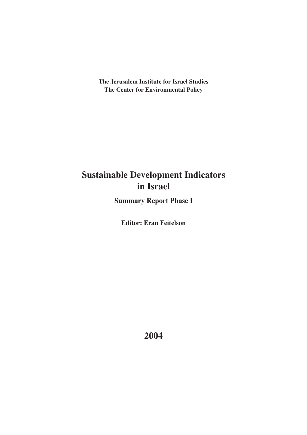**The Jerusalem Institute for Israel Studies The Center for Environmental Policy**

# **Sustainable Development Indicators in Israel**

**Summary Report Phase I**

**Editor: Eran Feitelson**

**2004**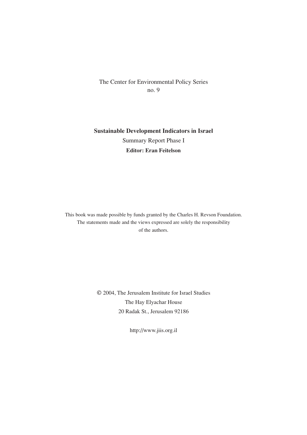The Center for Environmental Policy Series no. 9

**Sustainable Development Indicators in Israel** Summary Report Phase I **Editor: Eran Feitelson**

This book was made possible by funds granted by the Charles H. Revson Foundation. The statements made and the views expressed are solely the responsibility of the authors.

> © 2004, The Jerusalem Institute for Israel Studies The Hay Elyachar House 20 Radak St., Jerusalem 92186

> > http://www.jiis.org.il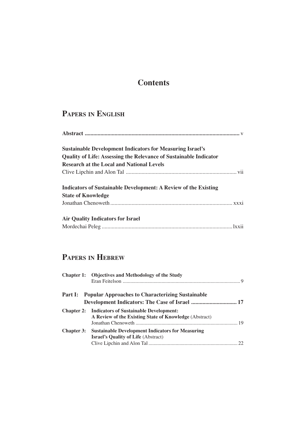# **Contents**

# **PAPERS IN ENGLISH**

| <b>Sustainable Development Indicators for Measuring Israel's</b>         |  |
|--------------------------------------------------------------------------|--|
| <b>Quality of Life: Assessing the Relevance of Sustainable Indicator</b> |  |
| <b>Research at the Local and National Levels</b>                         |  |
|                                                                          |  |
| <b>Indicators of Sustainable Development: A Review of the Existing</b>   |  |
| <b>State of Knowledge</b>                                                |  |
|                                                                          |  |
| <b>Air Quality Indicators for Israel</b>                                 |  |
|                                                                          |  |

## **PAPERS IN HEBREW**

|                   | Chapter 1: Objectives and Methodology of the Study                                                                 |  |
|-------------------|--------------------------------------------------------------------------------------------------------------------|--|
|                   | <b>Part I:</b> Popular Approaches to Characterizing Sustainable                                                    |  |
|                   |                                                                                                                    |  |
|                   | <b>Chapter 2:</b> Indicators of Sustainable Development:<br>A Review of the Existing State of Knowledge (Abstract) |  |
| <b>Chapter 3:</b> | <b>Sustainable Development Indicators for Measuring</b><br><b>Israel's Quality of Life (Abstract)</b>              |  |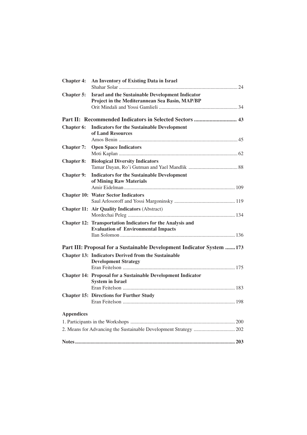| <b>Chapter 4:</b> | An Inventory of Existing Data in Israel                                                                   |
|-------------------|-----------------------------------------------------------------------------------------------------------|
| Chapter 5:        | <b>Israel and the Sustainable Development Indicator</b><br>Project in the Mediterannean Sea Basin, MAP/BP |
|                   |                                                                                                           |
|                   |                                                                                                           |
| Chapter 6:        | <b>Indicators for the Sustainable Development</b><br>of Land Resources                                    |
| <b>Chapter 7:</b> | <b>Open Space Indicators</b>                                                                              |
| <b>Chapter 8:</b> | <b>Biological Diversity Indicators</b>                                                                    |
| <b>Chapter 9:</b> | <b>Indicators for the Sustainable Development</b><br>of Mining Raw Materials                              |
|                   | <b>Chapter 10: Water Sector Indicators</b>                                                                |
|                   | <b>Chapter 11: Air Quality Indicators (Abstract)</b>                                                      |
|                   | Chapter 12: Transportation Indicators for the Analysis and<br><b>Evaluation of Environmental Impacts</b>  |
|                   | Part III: Proposal for a Sustainable Development Indicator System 173                                     |
|                   | <b>Chapter 13: Indicators Derived from the Sustainable</b><br><b>Development Strategy</b>                 |
|                   |                                                                                                           |
|                   | <b>Chapter 14: Proposal for a Sustainable Development Indicator</b><br><b>System in Israel</b>            |
|                   | <b>Chapter 15: Directions for Further Study</b>                                                           |
|                   |                                                                                                           |
| <b>Appendices</b> |                                                                                                           |
|                   |                                                                                                           |
|                   |                                                                                                           |
|                   |                                                                                                           |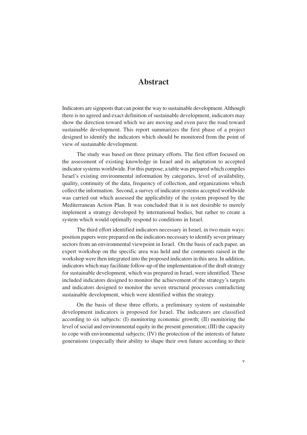## **Abstract**

Indicators are signposts that can point the way to sustainable development. Although there is no agreed and exact definition of sustainable development, indicators may show the direction toward which we are moving and even pave the road toward sustainable development. This report summarizes the first phase of a project designed to identify the indicators which should be monitored from the point of view of sustainable development.

The study was based on three primary efforts. The first effort focused on the assessment of existing knowledge in Israel and its adaptation to accepted indicator systems worldwide. For this purpose, a table was prepared which compiles Israel's existing environmental information by categories, level of availability, quality, continuity of the data, frequency of collection, and organizations which collect the information. Second, a survey of indicator systems accepted worldwide was carried out which assessed the applicability of the system proposed by the Mediterranean Action Plan. It was concluded that it is not desirable to merely implement a strategy developed by international bodies, but rather to create a system which would optimally respond to conditions in Israel.

The third effort identified indicators necessary in Israel, in two main ways: position papers were prepared on the indicators necessary to identify seven primary sectors from an environmental viewpoint in Israel. On the basis of each paper, an expert workshop on the specific area was held and the comments raised in the workshop were then integrated into the proposed indicators in this area. In addition, indicators which may facilitate follow-up of the implementation of the draft strategy for sustainable development, which was prepared in Israel, were identified. These included indicators designed to monitor the achievement of the strategy's targets and indicators designed to monitor the seven structural processes contradicting sustainable development, which were identified within the strategy.

On the basis of these three efforts, a preliminary system of sustainable development indicators is proposed for Israel. The indicators are classified according to six subjects: (I) monitoring economic growth; (II) monitoring the level of social and environmental equity in the present generation; (III) the capacity to cope with environmental subjects; (IV) the protection of the interests of future generations (especially their ability to shape their own future according to their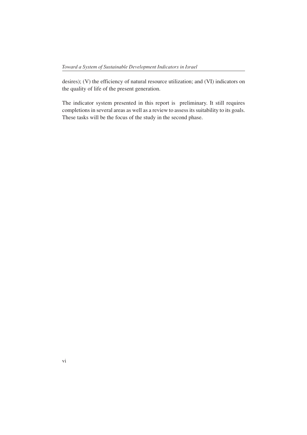desires); (V) the efficiency of natural resource utilization; and (VI) indicators on the quality of life of the present generation.

The indicator system presented in this report is preliminary. It still requires completions in several areas as well as a review to assess its suitability to its goals. These tasks will be the focus of the study in the second phase.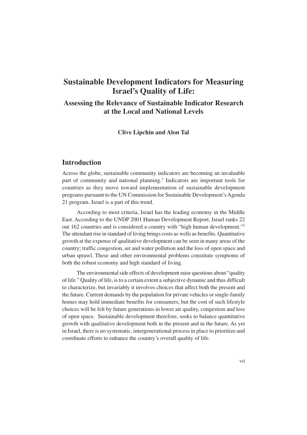## **Sustainable Development Indicators for Measuring Israel's Quality of Life:**

## **Assessing the Relevance of Sustainable Indicator Research at the Local and National Levels**

**Clive Lipchin and Alon Tal**

## **Introduction**

Across the globe, sustainable community indicators are becoming an invaluable part of community and national planning.<sup>1</sup> Indicators are important tools for countries as they move toward implementation of sustainable development programs pursuant to the UN Commission for Sustainable Development's Agenda 21 program. Israel is a part of this trend.

According to most criteria, Israel has the leading economy in the Middle East. According to the UNDP 2001 Human Development Report, Israel ranks 22 out 162 countries and is considered a country with "high human development."2 The attendant rise in standard of living brings costs as wells as benefits. Quantitative growth at the expense of qualitative development can be seen in many areas of the country; traffic congestion, air and water pollution and the loss of open space and urban sprawl. These and other environmental problems constitute symptoms of both the robust economy and high standard of living.

The environmental side effects of development raise questions about "quality of life." Quality of life, is to a certain extent a subjective dynamic and thus difficult to characterize, but invariably it involves choices that affect both the present and the future. Current demands by the population for private vehicles or single-family homes may hold immediate benefits for consumers, but the cost of such lifestyle choices will be felt by future generations in lower air quality, congestion and loss of open space. Sustainable development therefore, seeks to balance quantitative growth with qualitative development both in the present and in the future. As yet in Israel, there is no systematic, intergenerational process in place to prioritize and coordinate efforts to enhance the country's overall quality of life.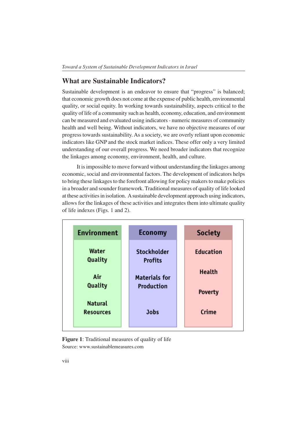### **What are Sustainable Indicators?**

Sustainable development is an endeavor to ensure that "progress" is balanced; that economic growth does not come at the expense of public health, environmental quality, or social equity. In working towards sustainability, aspects critical to the quality of life of a community such as health, economy, education, and environment can be measured and evaluated using indicators - numeric measures of community health and well being. Without indicators, we have no objective measures of our progress towards sustainability. As a society, we are overly reliant upon economic indicators like GNP and the stock market indices. These offer only a very limited understanding of our overall progress. We need broader indicators that recognize the linkages among economy, environment, health, and culture.

It is impossible to move forward without understanding the linkages among economic, social and environmental factors. The development of indicators helps to bring these linkages to the forefront allowing for policy makers to make policies in a broader and sounder framework. Traditional measures of quality of life looked at these activities in isolation. A sustainable development approach using indicators, allows for the linkages of these activities and integrates them into ultimate quality of life indexes (Figs. 1 and 2).



**Figure 1**: Traditional measures of quality of life Source: www.sustainablemeasures.com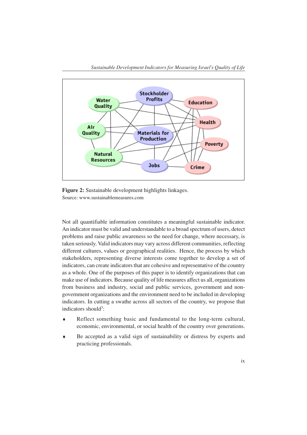

**Figure 2:** Sustainable development highlights linkages. Source: www.sustainablemeasures.com

Not all quantifiable information constitutes a meaningful sustainable indicator. An indicator must be valid and understandable to a broad spectrum of users, detect problems and raise public awareness so the need for change, where necessary, is taken seriously. Valid indicators may vary across different communities, reflecting different cultures, values or geographical realities. Hence, the process by which stakeholders, representing diverse interests come together to develop a set of indicators, can create indicators that are cohesive and representative of the country as a whole. One of the purposes of this paper is to identify organizations that can make use of indicators. Because quality of life measures affect us all, organizations from business and industry, social and public services, government and nongovernment organizations and the environment need to be included in developing indicators. In cutting a swathe across all sectors of the country, we propose that indicators should<sup>3</sup>:

- ♦ Reflect something basic and fundamental to the long-term cultural, economic, environmental, or social health of the country over generations.
- ♦ Be accepted as a valid sign of sustainability or distress by experts and practicing professionals.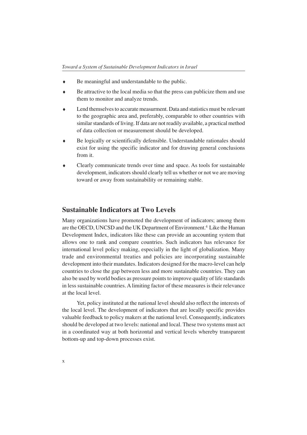- Be meaningful and understandable to the public.
- ♦ Be attractive to the local media so that the press can publicize them and use them to monitor and analyze trends.
- ♦ Lend themselves to accurate measurment. Data and statistics must be relevant to the geographic area and, preferably, comparable to other countries with similar standards of living. If data are not readily available, a practical method of data collection or measurement should be developed.
- ♦ Be logically or scientifically defensible. Understandable rationales should exist for using the specific indicator and for drawing general conclusions from it.
- ♦ Clearly communicate trends over time and space. As tools for sustainable development, indicators should clearly tell us whether or not we are moving toward or away from sustainability or remaining stable.

#### **Sustainable Indicators at Two Levels**

Many organizations have promoted the development of indicators; among them are the OECD, UNCSD and the UK Department of Environment.<sup>4</sup> Like the Human Development Index, indicators like these can provide an accounting system that allows one to rank and compare countries. Such indicators has relevance for international level policy making, especially in the light of globalization. Many trade and environmental treaties and policies are incorporating sustainable development into their mandates. Indicators designed for the macro-level can help countries to close the gap between less and more sustainable countries. They can also be used by world bodies as pressure points to improve quality of life standards in less sustainable countries. A limiting factor of these measures is their relevance at the local level.

Yet, policy instituted at the national level should also reflect the interests of the local level. The development of indicators that are locally specific provides valuable feedback to policy makers at the national level. Consequently, indicators should be developed at two levels: national and local. These two systems must act in a coordinated way at both horizontal and vertical levels whereby transparent bottom-up and top-down processes exist.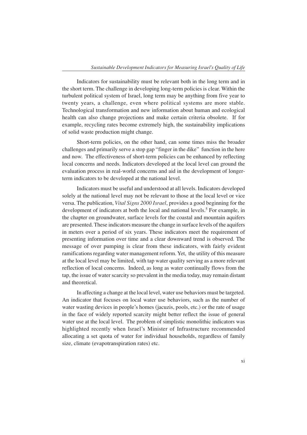Indicators for sustainability must be relevant both in the long term and in the short term. The challenge in developing long-term policies is clear. Within the turbulent political system of Israel, long term may be anything from five year to twenty years, a challenge, even where political systems are more stable. Technological transformation and new information about human and ecological health can also change projections and make certain criteria obsolete. If for example, recycling rates become extremely high, the sustainability implications of solid waste production might change.

Short-term policies, on the other hand, can some times miss the broader challenges and primarily serve a stop gap "finger in the dike" function in the here and now. The effectiveness of short-term policies can be enhanced by reflecting local concerns and needs. Indicators developed at the local level can ground the evaluation process in real-world concerns and aid in the development of longerterm indicators to be developed at the national level.

Indicators must be useful and understood at all levels. Indicators developed solely at the national level may not be relevant to those at the local level or vice versa. The publication, *Vital Signs 2000 Israel*, provides a good beginning for the development of indicators at both the local and national levels.<sup>5</sup> For example, in the chapter on groundwater, surface levels for the coastal and mountain aquifers are presented. These indicators measure the change in surface levels of the aquifers in meters over a period of six years. These indicators meet the requirement of presenting information over time and a clear downward trend is observed. The message of over pumping is clear from these indicators, with fairly evident ramifications regarding water management reform. Yet, the utility of this measure at the local level may be limited, with tap water quality serving as a more relevant reflection of local concerns. Indeed, as long as water continually flows from the tap, the issue of water scarcity so prevalent in the media today, may remain distant and theoretical.

In affecting a change at the local level, water use behaviors must be targeted. An indicator that focuses on local water use behaviors, such as the number of water wasting devices in people's homes (jacuzis, pools, etc.) or the rate of usage in the face of widely reported scarcity might better reflect the issue of general water use at the local level. The problem of simplistic monolithic indicators was highlighted recently when Israel's Minister of Infrastructure recommended allocating a set quota of water for individual households, regardless of family size, climate (evapotranspiration rates) etc.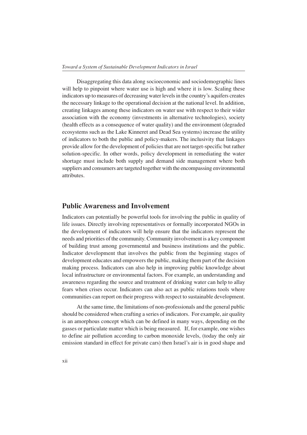Disaggregating this data along socioeconomic and sociodemographic lines will help to pinpoint where water use is high and where it is low. Scaling these indicators up to measures of decreasing water levels in the country's aquifers creates the necessary linkage to the operational decision at the national level. In addition, creating linkages among these indicators on water use with respect to their wider association with the economy (investments in alternative technologies), society (health effects as a consequence of water quality) and the environment (degraded ecosystems such as the Lake Kinneret and Dead Sea systems) increase the utility of indicators to both the public and policy-makers. The inclusivity that linkages provide allow for the development of policies that are not target-specific but rather solution-specific. In other words, policy development in remediating the water shortage must include both supply and demand side management where both suppliers and consumers are targeted together with the encompassing environmental attributes.

#### **Public Awareness and Involvement**

Indicators can potentially be powerful tools for involving the public in quality of life issues. Directly involving representatives or formally incorporated NGOs in the development of indicators will help ensure that the indicators represent the needs and priorities of the community. Community involvement is a key component of building trust among governmental and business institutions and the public. Indicator development that involves the public from the beginning stages of development educates and empowers the public, making them part of the decision making process. Indicators can also help in improving public knowledge about local infrastructure or environmental factors. For example, an understanding and awareness regarding the source and treatment of drinking water can help to allay fears when crises occur. Indicators can also act as public relations tools where communities can report on their progress with respect to sustainable development.

At the same time, the limitations of non-professionals and the general public should be considered when crafting a series of indicators. For example, air quality is an amorphous concept which can be defined in many ways, depending on the gasses or particulate matter which is being measured. If, for example, one wishes to define air pollution according to carbon monoxide levels, (today the only air emission standard in effect for private cars) then Israel's air is in good shape and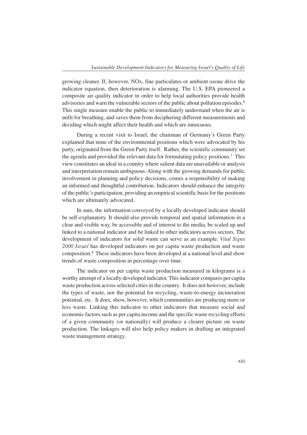growing cleaner. If, however, NOx, fine particulates or ambient ozone drive the indicator equation, then deterioration is alarming. The U.S. EPA pioneered a composite air quality indicator in order to help local authorities provide health advisories and warn the vulnerable sectors of the public about pollution episodes.<sup>6</sup> This single measure enable the public to immediately understand when the air is unfit for breathing, and saves them from deciphering different measurements and deciding which might affect their health and which are innocuous.

During a recent visit to Israel, the chairman of Germany's Green Party explained that none of the environmental positions which were advocated by his party, originated from the Green Party itself. Rather, the scientific community set the agenda and provided the relevant data for formulating policy positions.7 This view constitutes an ideal in a country where salient data are unavailable or analysis and interpretation remain ambiguous. Along with the growing demands for public involvement in planning and policy decisions, comes a responsibility of making an informed and thoughtful contribution. Indicators should enhance the integrity of the public's participation, providing an empirical scientific basis for the positions which are ultimately advocated.

In sum, the information conveyed by a locally developed indicator should be self-explanatory. It should also provide temporal and spatial information in a clear and visible way, be accessible and of interest to the media, be scaled up and linked to a national indicator and be linked to other indicators across sectors. The development of indicators for solid waste can serve as an example. *Vital Signs 2000 Israel* has developed indicators on per capita waste production and waste composition.8 These indicators have been developed at a national level and show trends of waste composition in percentage over time.

The indicator on per capita waste production measured in kilograms is a worthy attempt of a locally developed indicator. This indicator compares per capita waste production across selected cities in the country. It does not however, include the types of waste, nor the potential for recycling, waste-to-energy incineration potential, etc. It does, show, however, which communities are producing more or less waste. Linking this indicator to other indicators that measure social and economic factors such as per capita income and the specific waste recycling efforts of a given community (or nationally) will produce a clearer picture on waste production. The linkages will also help policy makers in drafting an integrated waste management strategy.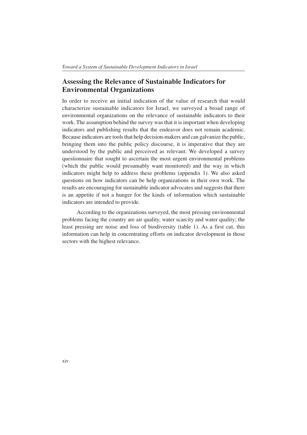## **Assessing the Relevance of Sustainable Indicators for Environmental Organizations**

In order to receive an initial indication of the value of research that would characterize sustainable indicators for Israel, we surveyed a broad range of environmental organizations on the relevance of sustainable indicators to their work. The assumption behind the survey was that it is important when developing indicators and publishing results that the endeavor does not remain academic. Because indicators are tools that help decision-makers and can galvanize the public, bringing them into the public policy discourse, it is imperative that they are understood by the public and perceived as relevant. We developed a survey questionnaire that sought to ascertain the most urgent environmental problems (which the public would presumably want monitored) and the way in which indicators might help to address these problems (appendix 1). We also asked questions on how indicators can be help organizations in their own work. The results are encouraging for sustainable indicator advocates and suggests that there is an appetite if not a hunger for the kinds of information which sustainable indicators are intended to provide.

According to the organizations surveyed, the most pressing environmental problems facing the country are air quality, water scarcity and water quality; the least pressing are noise and loss of biodiversity (table 1). As a first cut, this information can help in concentrating efforts on indicator development in those sectors with the highest relevance.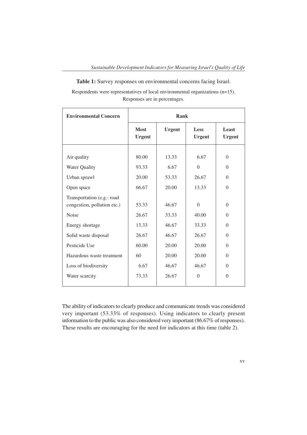**Table 1:** Survey responses on environmental concerns facing Israel.

Respondents were representatives of local environmental organizations (n=15). Responses are in percentages.

| <b>Environmental Concern</b>                               | Rank                             |                                 |                                    |                                              |
|------------------------------------------------------------|----------------------------------|---------------------------------|------------------------------------|----------------------------------------------|
|                                                            | <b>Most</b><br><b>Urgent</b>     | <b>Urgent</b>                   | Less<br><b>Urgent</b>              | Least<br><b>Urgent</b>                       |
| Air quality<br>Water Quality<br>Urban sprawl<br>Open space | 80.00<br>93.33<br>20.00<br>66.67 | 13.33<br>6.67<br>53.33<br>20.00 | 6.67<br>$\theta$<br>26.67<br>13.33 | $\theta$<br>$\theta$<br>$\theta$<br>$\theta$ |
| Transportation (e.g.: road<br>congestion, pollution etc.)  | 53.33                            | 46.67                           | $\theta$                           | $\theta$                                     |
| <b>Noise</b>                                               | 26.67                            | 33.33                           | 40.00                              | $\theta$                                     |
| Energy shortage                                            | 13.33                            | 46.67                           | 33.33                              | $\Omega$                                     |
| Solid waste disposal                                       | 26.67                            | 46.67                           | 26.67                              | $\Omega$                                     |
| Pesticide Use                                              | 60.00                            | 20.00                           | 20.00                              | $\Omega$                                     |
| Hazardous waste treatment                                  | 60                               | 20.00                           | 20.00                              | $\Omega$                                     |
| Loss of biodiversity                                       | 6.67                             | 46.67                           | 46.67                              | $\theta$                                     |
| Water scarcity                                             | 73.33                            | 26.67                           | $\theta$                           | $\theta$                                     |

The ability of indicators to clearly produce and communicate trends was considered very important (53.33% of responses). Using indicators to clearly present information to the public was also considered very important (86.67% of responses). These results are encouraging for the need for indicators at this time (table 2).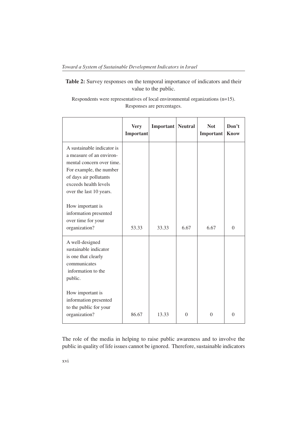## **Table 2:** Survey responses on the temporal importance of indicators and their value to the public.

Respondents were representatives of local environmental organizations (n=15). Responses are percentages.

|                                                                                                                                                                                              | <b>Very</b><br>Important | <b>Important</b> Neutral |          | <b>Not</b><br>Important | Don't<br><b>Know</b> |
|----------------------------------------------------------------------------------------------------------------------------------------------------------------------------------------------|--------------------------|--------------------------|----------|-------------------------|----------------------|
| A sustainable indicator is<br>a measure of an environ-<br>mental concern over time.<br>For example, the number<br>of days air pollutants<br>exceeds health levels<br>over the last 10 years. |                          |                          |          |                         |                      |
| How important is<br>information presented<br>over time for your<br>organization?                                                                                                             | 53.33                    | 33.33                    | 6.67     | 6.67                    | $\Omega$             |
| A well-designed<br>sustainable indicator<br>is one that clearly<br>communicates<br>information to the<br>public.                                                                             |                          |                          |          |                         |                      |
| How important is<br>information presented<br>to the public for your<br>organization?                                                                                                         | 86.67                    | 13.33                    | $\theta$ | $\theta$                | $\theta$             |

The role of the media in helping to raise public awareness and to involve the public in quality of life issues cannot be ignored. Therefore, sustainable indicators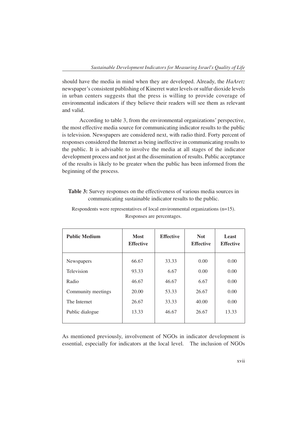should have the media in mind when they are developed. Already, the *HaAretz* newspaper's consistent publishing of Kinerret water levels or sulfur dioxide levels in urban centers suggests that the press is willing to provide coverage of environmental indicators if they believe their readers will see them as relevant and valid.

 According to table 3, from the environmental organizations' perspective, the most effective media source for communicating indicator results to the public is television. Newspapers are considered next, with radio third. Forty percent of responses considered the Internet as being ineffective in communicating results to the public. It is advisable to involve the media at all stages of the indicator development process and not just at the dissemination of results. Public acceptance of the results is likely to be greater when the public has been informed from the beginning of the process.

#### **Table 3:** Survey responses on the effectiveness of various media sources in communicating sustainable indicator results to the public.

| <b>Public Medium</b> | <b>Most</b><br><b>Effective</b> | <b>Effective</b> | <b>Not</b><br><b>Effective</b> | Least<br><b>Effective</b> |
|----------------------|---------------------------------|------------------|--------------------------------|---------------------------|
| <b>Newspapers</b>    | 66.67                           | 33.33            | 0.00                           | 0.00                      |
| Television           | 93.33                           | 6.67             | 0.00                           | 0.00                      |
| Radio                | 46.67                           | 46.67            | 6.67                           | 0.00                      |
| Community meetings   | 20.00                           | 53.33            | 26.67                          | 0.00                      |
| The Internet         | 26.67                           | 33.33            | 40.00                          | 0.00                      |
| Public dialogue      | 13.33                           | 46.67            | 26.67                          | 13.33                     |

Respondents were representatives of local environmental organizations (n=15). Responses are percentages.

As mentioned previously, involvement of NGOs in indicator development is essential, especially for indicators at the local level. The inclusion of NGOs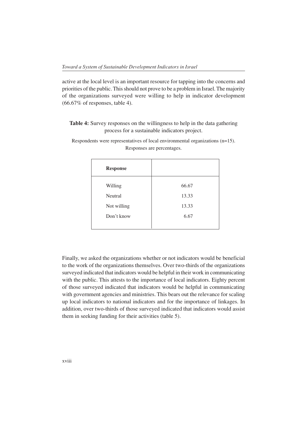active at the local level is an important resource for tapping into the concerns and priorities of the public. This should not prove to be a problem in Israel. The majority of the organizations surveyed were willing to help in indicator development (66.67% of responses, table 4).

### **Table 4:** Survey responses on the willingness to help in the data gathering process for a sustainable indicators project.

| <b>Response</b> |       |
|-----------------|-------|
| Willing         | 66.67 |
| Neutral         | 13.33 |
| Not willing     | 13.33 |
| Don't know      | 6.67  |
|                 |       |

Respondents were representatives of local environmental organizations (n=15). Responses are percentages.

Finally, we asked the organizations whether or not indicators would be beneficial to the work of the organizations themselves. Over two-thirds of the organizations surveyed indicated that indicators would be helpful in their work in communicating with the public. This attests to the importance of local indicators. Eighty percent of those surveyed indicated that indicators would be helpful in communicating with government agencies and ministries. This bears out the relevance for scaling up local indicators to national indicators and for the importance of linkages. In addition, over two-thirds of those surveyed indicated that indicators would assist them in seeking funding for their activities (table 5).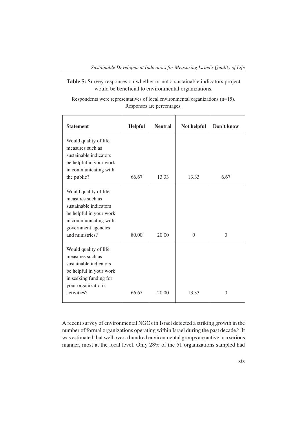#### **Table 5:** Survey responses on whether or not a sustainable indicators project would be beneficial to environmental organizations.

Respondents were representatives of local environmental organizations (n=15). Responses are percentages.

| <b>Statement</b>                                                                                                                                                  | <b>Helpful</b> | <b>Neutral</b> | Not helpful    | Don't know     |
|-------------------------------------------------------------------------------------------------------------------------------------------------------------------|----------------|----------------|----------------|----------------|
| Would quality of life<br>measures such as<br>sustainable indicators<br>be helpful in your work<br>in communicating with<br>the public?                            | 66.67          | 13.33          | 13.33          | 6.67           |
| Would quality of life<br>measures such as<br>sustainable indicators<br>be helpful in your work<br>in communicating with<br>government agencies<br>and ministries? | 80.00          | 20.00          | $\overline{0}$ | $\overline{0}$ |
| Would quality of life<br>measures such as<br>sustainable indicators<br>be helpful in your work<br>in seeking funding for<br>your organization's<br>activities?    | 66.67          | 20.00          | 13.33          | $\theta$       |

A recent survey of environmental NGOs in Israel detected a striking growth in the number of formal organizations operating within Israel during the past decade.<sup>9</sup> It was estimated that well over a hundred environmental groups are active in a serious manner, most at the local level. Only 28% of the 51 organizations sampled had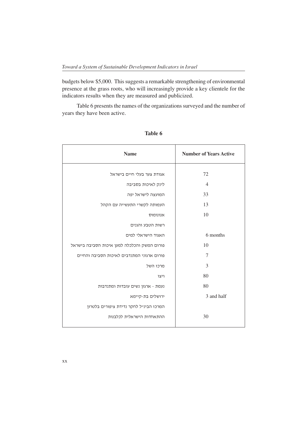budgets below \$5,000. This suggests a remarkable strengthening of environmental presence at the grass roots, who will increasingly provide a key clientele for the indicators results when they are measured and publicized.

Table 6 presents the names of the organizations surveyed and the number of years they have been active.

| <b>Name</b>                                 | <b>Number of Years Active</b> |
|---------------------------------------------|-------------------------------|
| אגודת צער בעלי חיים בישראל                  | 72                            |
| לינק לאיכות בסביבה                          | $\overline{4}$                |
| המועצה לישראל יפה                           | 33                            |
| העמותה לקשרי התעשייה עם הקהל                | 13                            |
| אנונומוס                                    | 10                            |
| רשות הטבע והגנים                            |                               |
| האגוד הישראלי למים                          | 6 months                      |
| פורום המשק והכלכלה למען איכות הסביבה בישראל | 10                            |
| פורום ארגוני המתנדבים לאיכות הסביבה והחיים  | 7                             |
| מרכז השל                                    | 3                             |
| ויצו                                        | 80                            |
| נעמת - ארגון נשים עובדות ומתנדבות           | 80                            |
| ירושלים בת-קיימא                            | 3 and half                    |
| המרכז הבינ״ל לחקר נדידת ציפורים בלטרון      |                               |
| ההתאחדות הישראלית לכלבנות                   | 30                            |

**Table 6**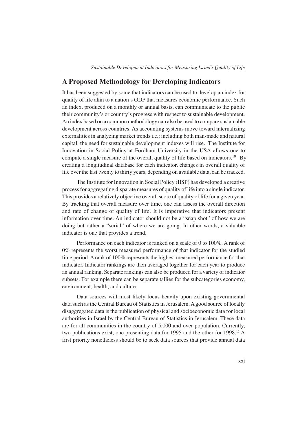### **A Proposed Methodology for Developing Indicators**

It has been suggested by some that indicators can be used to develop an index for quality of life akin to a nation's GDP that measures economic performance. Such an index, produced on a monthly or annual basis, can communicate to the public their community's or country's progress with respect to sustainable development. An index based on a common methodology can also be used to compare sustainable development across countries. As accounting systems move toward internalizing externalities in analyzing market trends i.e.: including both man-made and natural capital, the need for sustainable development indexes will rise. The Institute for Innovation in Social Policy at Fordham University in the USA allows one to compute a single measure of the overall quality of life based on indicators.<sup>10</sup> By creating a longitudinal database for each indicator, changes in overall quality of life over the last twenty to thirty years, depending on available data, can be tracked.

The Institute for Innovation in Social Policy (IISP) has developed a creative process for aggregating disparate measures of quality of life into a single indicator. This provides a relatively objective overall score of quality of life for a given year. By tracking that overall measure over time, one can assess the overall direction and rate of change of quality of life. It is imperative that indicators present information over time. An indicator should not be a "snap shot" of how we are doing but rather a "serial" of where we are going. In other words, a valuable indicator is one that provides a trend.

Performance on each indicator is ranked on a scale of 0 to 100%. A rank of 0% represents the worst measured performance of that indicator for the studied time period. A rank of 100% represents the highest measured performance for that indicator. Indicator rankings are then averaged together for each year to produce an annual ranking. Separate rankings can also be produced for a variety of indicator subsets. For example there can be separate tallies for the subcategories economy, environment, health, and culture.

Data sources will most likely focus heavily upon existing governmental data such as the Central Bureau of Statistics in Jerusalem. A good source of locally disaggregated data is the publication of physical and socioeconomic data for local authorities in Israel by the Central Bureau of Statistics in Jerusalem. These data are for all communities in the country of 5,000 and over population. Currently, two publications exist, one presenting data for 1995 and the other for 1998.<sup>11</sup> A first priority nonetheless should be to seek data sources that provide annual data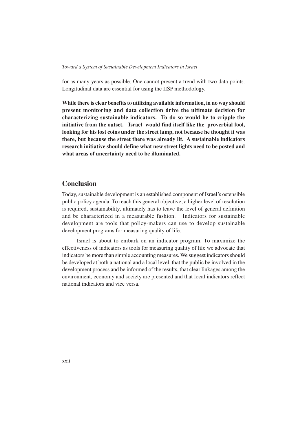for as many years as possible. One cannot present a trend with two data points. Longitudinal data are essential for using the IISP methodology.

**While there is clear benefits to utilizing available information, in no way should present monitoring and data collection drive the ultimate decision for characterizing sustainable indicators. To do so would be to cripple the initiative from the outset. Israel would find itself like the proverbial fool, looking for his lost coins under the street lamp, not because he thought it was there, but because the street there was already lit. A sustainable indicators research initiative should define what new street lights need to be posted and what areas of uncertainty need to be illuminated.**

## **Conclusion**

Today, sustainable development is an established component of Israel's ostensible public policy agenda. To reach this general objective, a higher level of resolution is required, sustainability, ultimately has to leave the level of general definition and be characterized in a measurable fashion. Indicators for sustainable development are tools that policy-makers can use to develop sustainable development programs for measuring quality of life.

Israel is about to embark on an indicator program. To maximize the effectiveness of indicators as tools for measuring quality of life we advocate that indicators be more than simple accounting measures. We suggest indicators should be developed at both a national and a local level, that the public be involved in the development process and be informed of the results, that clear linkages among the environment, economy and society are presented and that local indicators reflect national indicators and vice versa.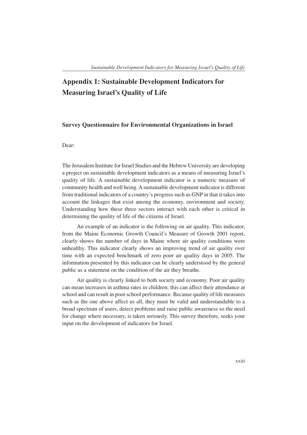## **Appendix 1: Sustainable Development Indicators for Measuring Israel's Quality of Life**

#### **Survey Questionnaire for Environmental Organizations in Israel**

#### Dear:

The Jerusalem Institute for Israel Studies and the Hebrew University are developing a project on sustainable development indicators as a means of measuring Israel's quality of life. A sustainable development indicator is a numeric measure of community health and well being. A sustainable development indicator is different from traditional indicators of a country's progress such as GNP in that it takes into account the linkages that exist among the economy, environment and society. Understanding how these three sectors interact with each other is critical in determining the quality of life of the citizens of Israel.

An example of an indicator is the following on air quality. This indicator, from the Maine Economic Growth Council's Measure of Growth 2001 report, clearly shows the number of days in Maine where air quality conditions were unhealthy. This indicator clearly shows an improving trend of air quality over time with an expected benchmark of zero poor air quality days in 2005. The information presented by this indicator can be clearly understood by the general public as a statement on the condition of the air they breathe.

Air quality is clearly linked to both society and economy. Poor air quality can mean increases in asthma rates in children; this can affect their attendance at school and can result in poor school performance. Because quality of life measures such as the one above affect us all, they must be valid and understandable to a broad spectrum of users, detect problems and raise public awareness so the need for change where necessary, is taken seriously. This survey therefore, seeks your input on the development of indicators for Israel.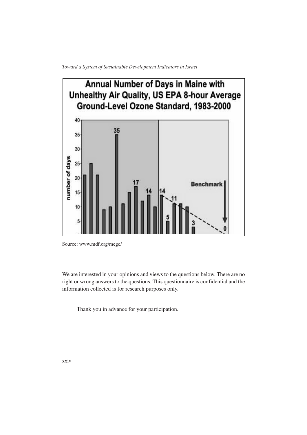

Source: www.mdf.org/megc/

We are interested in your opinions and views to the questions below. There are no right or wrong answers to the questions. This questionnaire is confidential and the information collected is for research purposes only.

Thank you in advance for your participation.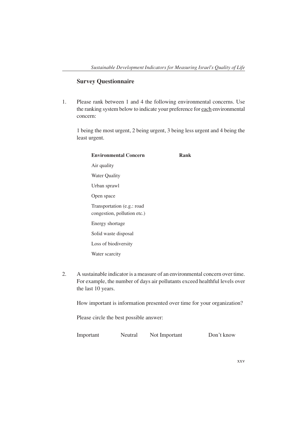#### **Survey Questionnaire**

1. Please rank between 1 and 4 the following environmental concerns. Use the ranking system below to indicate your preference for each environmental concern:

1 being the most urgent, 2 being urgent, 3 being less urgent and 4 being the least urgent.

| <b>Environmental Concern</b>                              | Rank |
|-----------------------------------------------------------|------|
| Air quality                                               |      |
| <b>Water Quality</b>                                      |      |
| Urban sprawl                                              |      |
| Open space                                                |      |
| Transportation (e.g.: road<br>congestion, pollution etc.) |      |
| Energy shortage                                           |      |
| Solid waste disposal                                      |      |
| Loss of biodiversity                                      |      |
| Water scarcity                                            |      |
|                                                           |      |

2. A sustainable indicator is a measure of an environmental concern over time. For example, the number of days air pollutants exceed healthful levels over the last 10 years.

How important is information presented over time for your organization?

Please circle the best possible answer:

Important Neutral Not Important Don't know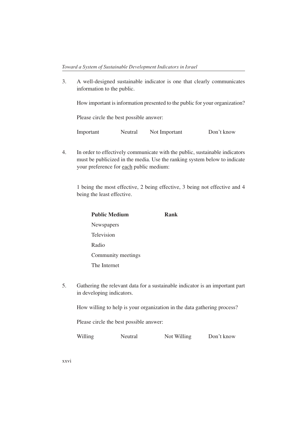3. A well-designed sustainable indicator is one that clearly communicates information to the public.

How important is information presented to the public for your organization?

Please circle the best possible answer:

Important Neutral Not Important Don't know

4. In order to effectively communicate with the public, sustainable indicators must be publicized in the media. Use the ranking system below to indicate your preference for each public medium:

1 being the most effective, 2 being effective, 3 being not effective and 4 being the least effective.

| <b>Public Medium</b> | Rank |
|----------------------|------|
| Newspapers           |      |
| Television           |      |
| Radio                |      |
| Community meetings   |      |
| The Internet         |      |
|                      |      |

5. Gathering the relevant data for a sustainable indicator is an important part in developing indicators.

How willing to help is your organization in the data gathering process?

Please circle the best possible answer:

Willing Neutral Not Willing Don't know

xxvi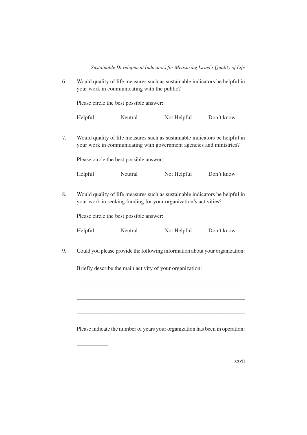6. Would quality of life measures such as sustainable indicators be helpful in your work in communicating with the public?

Please circle the best possible answer:

Helpful Neutral Not Helpful Don't know

7. Would quality of life measures such as sustainable indicators be helpful in your work in communicating with government agencies and ministries?

Please circle the best possible answer:

Helpful Neutral Not Helpful Don't know

8. Would quality of life measures such as sustainable indicators be helpful in your work in seeking funding for your organization's activities?

Please circle the best possible answer:

\_\_\_\_\_\_\_\_\_\_\_

| Helpful | Neutral | Not Helpful | Don't know |
|---------|---------|-------------|------------|
|         |         |             |            |

9. Could you please provide the following information about your organization:

Briefly describe the main activity of your organization:

Please indicate the number of years your organization has been in operation:

\_\_\_\_\_\_\_\_\_\_\_\_\_\_\_\_\_\_\_\_\_\_\_\_\_\_\_\_\_\_\_\_\_\_\_\_\_\_\_\_\_\_\_\_\_\_\_\_\_\_\_\_\_\_\_\_\_\_\_\_

\_\_\_\_\_\_\_\_\_\_\_\_\_\_\_\_\_\_\_\_\_\_\_\_\_\_\_\_\_\_\_\_\_\_\_\_\_\_\_\_\_\_\_\_\_\_\_\_\_\_\_\_\_\_\_\_\_\_\_\_

\_\_\_\_\_\_\_\_\_\_\_\_\_\_\_\_\_\_\_\_\_\_\_\_\_\_\_\_\_\_\_\_\_\_\_\_\_\_\_\_\_\_\_\_\_\_\_\_\_\_\_\_\_\_\_\_\_\_\_\_

xxvii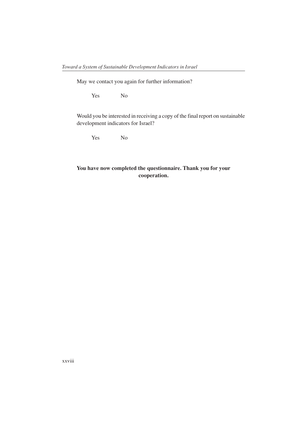May we contact you again for further information?

Yes No

Would you be interested in receiving a copy of the final report on sustainable development indicators for Israel?

Yes No

## **You have now completed the questionnaire. Thank you for your cooperation.**

xxviii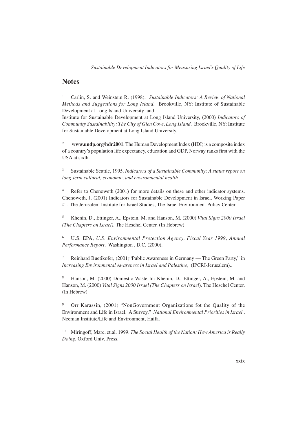### **Notes**

<sup>1</sup> Carlin, S. and Weinstein R. (1998). *Sustainable Indicators: A Review of National Methods and Suggestions for Long Island*. Brookville, NY: Institute of Sustainable Development at Long Island University and

Institute for Sustainable Development at Long Island University, (2000) *Indicators of Community Sustainability: The City of Glen Cove, Long Island.* Brookville, NY: Institute for Sustainable Development at Long Island University.

<sup>2</sup> **www.undp.org/hdr2001**, The Human Development Index (HDI) is a composite index of a country's population life expectancy, education and GDP, Norway ranks first with the USA at sixth.

<sup>3</sup> Sustainable Seattle, 1995*. Indicators of a Sustainable Community: A status report on long-term cultural, economic, and environmental health*

<sup>4</sup> Refer to Chenoweth (2001) for more details on these and other indicator systems. Chenoweth, J. (2001) Indicators for Sustainable Development in Israel. Working Paper #1, The Jerusalem Institute for Israel Studies, The Israel Environment Policy Center

<sup>5</sup> Khenin, D., Ettinger, A., Epstein, M. and Hanson, M. (2000) *Vital Signs 2000 Israel (The Chapters on Israel).* The Heschel Center. (In Hebrew)

<sup>6</sup> U.S. EPA, *U.S. Environmental Protection Agency, Fiscal Year 1999, Annual Performance Report,* Washington , D.C. (2000).

<sup>7</sup> Reinhard Buetikofer, (2001)"Public Awareness in Germany — The Green Party," in *Increasing Environmental Awareness in Israel and Palestine,* (IPCRI-Jerusalem)..

<sup>8</sup> Hanson, M. (2000) Domestic Waste In: Khenin, D., Ettinger, A., Epstein, M. and Hanson, M. (2000) *Vital Signs 2000 Israel (The Chapters on Israel*). The Heschel Center. (In Hebrew)

<sup>9</sup> Orr Karassin, (2001) "NonGovernment Organizations fot the Quality of the Environment and Life in Israel, A Survey," *National Environmental Priorities in Israel ,* Neeman Institute/Life and Environment, Haifa.

<sup>10</sup> Miringoff, Marc, et.al. 1999. *The Social Health of the Nation: How America is Really Doing*. Oxford Univ. Press.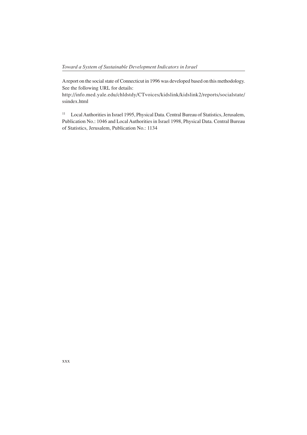A report on the social state of Connecticut in 1996 was developed based on this methodology. See the following URL for details:

http://info.med.yale.edu/chldstdy/CTvoices/kidslink/kidslink2/reports/socialstate/ ssindex.html

<sup>11</sup> Local Authorities in Israel 1995, Physical Data. Central Bureau of Statistics, Jerusalem, Publication No.: 1046 and Local Authorities in Israel 1998, Physical Data. Central Bureau of Statistics, Jerusalem, Publication No.: 1134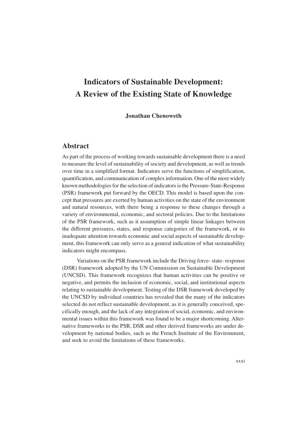# **Indicators of Sustainable Development: A Review of the Existing State of Knowledge**

#### **Jonathan Chenoweth**

## **Abstract**

As part of the process of working towards sustainable development there is a need to measure the level of sustainability of society and development, as well as trends over time in a simplified format. Indicators serve the functions of simplification, quantification, and communication of complex information. One of the most widely known methodologies for the selection of indicators is the Pressure-State-Response (PSR) framework put forward by the OECD. This model is based upon the concept that pressures are exerted by human activities on the state of the environment and natural resources, with there being a response to these changes through a variety of environmental, economic, and sectoral policies. Due to the limitations of the PSR framework, such as it assumption of simple linear linkages between the different pressures, states, and response categories of the framework, or its inadequate attention towards economic and social aspects of sustainable development, this framework can only serve as a general indication of what sustainability indicators might encompass.

Variations on the PSR framework include the Driving force- state- response (DSR) framework adopted by the UN Commission on Sustainable Development (UNCSD). This framework recognizes that human activities can be positive or negative, and permits the inclusion of economic, social, and institutional aspects relating to sustainable development. Testing of the DSR framework developed by the UNCSD by individual countries has revealed that the many of the indicators selected do not reflect sustainable development, as it is generally conceived, specifically enough, and the lack of any integration of social, economic, and environmental issues within this framework was found to be a major shortcoming. Alternative frameworks to the PSR, DSR and other derived frameworks are under development by national bodies, such as the French Institute of the Environment, and seek to avoid the limitations of these frameworks.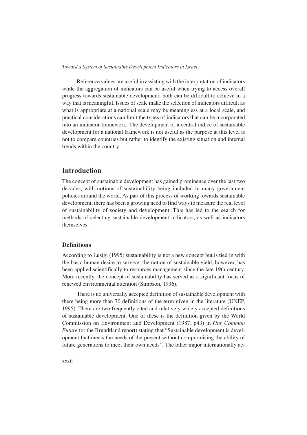Reference values are useful in assisting with the interpretation of indicators while the aggregation of indicators can be useful when trying to access overall progress towards sustainable development; both can be difficult to achieve in a way that is meaningful. Issues of scale make the selection of indicators difficult as what is appropriate at a national scale may be meaningless at a local scale, and practical considerations can limit the types of indicators that can be incorporated into an indicator framework. The development of a central indice of sustainable development for a national framework is not useful as the purpose at this level is not to compare countries but rather to identify the existing situation and internal trends within the country.

## **Introduction**

The concept of sustainable development has gained prominence over the last two decades, with notions of sustainability being included in many government policies around the world. As part of this process of working towards sustainable development, there has been a growing need to find ways to measure the real level of sustainability of society and development. This has led to the search for methods of selecting sustainable development indicators, as well as indicators themselves.

#### **Definitions**

According to Lusigi (1995) sustainability is not a new concept but is tied in with the basic human desire to survive; the notion of sustainable yield, however, has been applied scientifically to resources management since the late 19th century. More recently, the concept of sustainability has served as a significant focus of renewed environmental attention (Simpson, 1996).

There is no universally accepted definition of sustainable development with there being more than 70 definitions of the term given in the literature (UNEP, 1995). There are two frequently cited and relatively widely accepted definitions of sustainable development. One of these is the definition given by the World Commission on Environment and Development (1987, p43) in *Our Common Future* (or the Brundtland report) stating that "Sustainable development is development that meets the needs of the present without compromising the ability of future generations to meet their own needs". The other major internationally ac-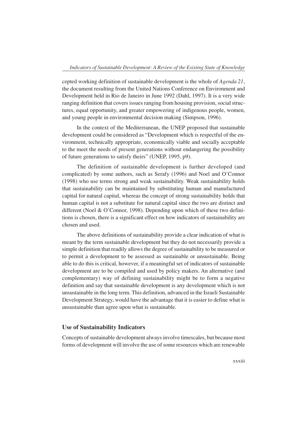cepted working definition of sustainable development is the whole of *Agenda 21*, the document resulting from the United Nations Conference on Environment and Development held in Rio de Janeiro in June 1992 (Dahl, 1997). It is a very wide ranging definition that covers issues ranging from housing provision, social structures, equal opportunity, and greater empowering of indigenous people, women, and young people in environmental decision making (Simpson, 1996).

In the context of the Mediterranean, the UNEP proposed that sustainable development could be considered as "Development which is respectful of the environment, technically appropriate, economically viable and socially acceptable to the meet the needs of present generations without endangering the possibility of future generations to satisfy theirs" (UNEP, 1995, p9).

The definition of sustainable development is further developed (and complicated) by some authors, such as Serafy (1996) and Noel and O'Connor (1998) who use terms strong and weak sustainability. Weak sustainability holds that sustainability can be maintained by substituting human and manufactured capital for natural capital, whereas the concept of strong sustainability holds that human capital is not a substitute for natural capital since the two are distinct and different (Noel & O'Connor, 1998). Depending upon which of these two definitions is chosen, there is a significant effect on how indicators of sustainability are chosen and used.

The above definitions of sustainability provide a clear indication of what is meant by the term sustainable development but they do not necessarily provide a simple definition that readily allows the degree of sustainability to be measured or to permit a development to be assessed as sustainable or unsustainable. Being able to do this is critical, however, if a meaningful set of indicators of sustainable development are to be compiled and used by policy makers. An alternative (and complementary) way of defining sustainability might be to form a negative definition and say that sustainable development is any development which is not unsustainable in the long term. This definition, advanced in the Israeli Sustainable Development Strategy, would have the advantage that it is easier to define what is unsustainable than agree upon what is sustainable.

#### **Use of Sustainability Indicators**

Concepts of sustainable development always involve timescales, but because most forms of development will involve the use of some resources which are renewable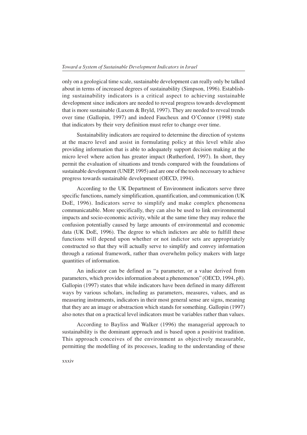only on a geological time scale, sustainable development can really only be talked about in terms of increased degrees of sustainability (Simpson, 1996). Establishing sustainability indicators is a critical aspect to achieving sustainable development since indicators are needed to reveal progress towards development that is more sustainable (Luxem & Bryld, 1997). They are needed to reveal trends over time (Gallopin, 1997) and indeed Faucheux and O'Connor (1998) state that indicators by their very definition must refer to change over time.

Sustainability indicators are required to determine the direction of systems at the macro level and assist in formulating policy at this level while also providing information that is able to adequately support decision making at the micro level where action has greater impact (Rutherford, 1997). In short, they permit the evaluation of situations and trends compared with the foundations of sustainable development (UNEP, 1995) and are one of the tools necessary to achieve progress towards sustainable development (OECD, 1994).

According to the UK Department of Environment indicators serve three specific functions, namely simplification, quantification, and communication (UK DoE, 1996). Indicators serve to simplify and make complex phenomena communicatable. More specifically, they can also be used to link environmental impacts and socio-economic activity, while at the same time they may reduce the confusion potentially caused by large amounts of environmental and economic data (UK DoE, 1996). The degree to which indictors are able to fulfill these functions will depend upon whether or not indictor sets are appropriately constructed so that they will actually serve to simplify and convey information through a rational framework, rather than overwhelm policy makers with large quantities of information.

An indicator can be defined as "a parameter, or a value derived from parameters, which provides information about a phenomenon" (OECD, 1994, p8). Gallopin (1997) states that while indicators have been defined in many different ways by various scholars, including as parameters, measures, values, and as measuring instruments, indicators in their most general sense are signs, meaning that they are an image or abstraction which stands for something. Gallopin (1997) also notes that on a practical level indicators must be variables rather than values.

According to Bayliss and Walker (1996) the managerial approach to sustainability is the dominant approach and is based upon a positivist tradition. This approach conceives of the environment as objectively measurable, permitting the modelling of its processes, leading to the understanding of these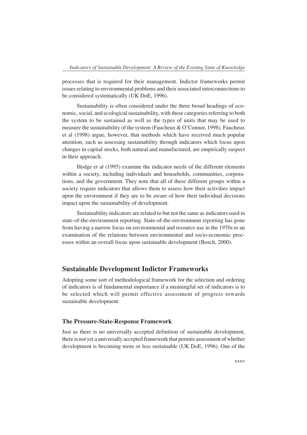processes that is required for their management. Indictor frameworks permit issues relating to environmental problems and their associated interconnections to be considered systematically (UK DoE, 1996).

Sustainability is often considered under the three broad headings of economic, social, and ecological sustainability, with these categories referring to both the system to be sustained as well as the types of units that may be used to measure the sustainability of the system (Faucheux & O'Connor, 1998). Faucheux et al (1998) argue, however, that methods which have received much popular attention, such as assessing sustainability through indicators which focus upon changes in capital stocks, both natural and manufactured, are empirically suspect in their approach.

Hodge et al (1995) examine the indicator needs of the different elements within a society, including individuals and households, communities, corporations, and the government. They note that all of these different groups within a society require indicators that allows them to assess how their activities impact upon the environment if they are to be aware of how their individual decisions impact upon the sustainability of development.

Sustainability indicators are related to but not the same as indicators used in state-of-the-environment reporting. State-of-the-environment reporting has gone from having a narrow focus on environmental and resource use in the 1970s to an examination of the relations between environmental and socio-economic processes within an overall focus upon sustainable development (Bosch, 2000).

## **Sustainable Development Indictor Frameworks**

Adopting some sort of methodological framework for the selection and ordering of indicators is of fundamental importance if a meaningful set of indicators is to be selected which will permit effective assessment of progress towards sustainable development.

#### **The Pressure-State-Response Framework**

Just as there is no universally accepted definition of sustainable development, there is not yet a universally accepted framework that permits assessment of whether development is becoming more or less sustainable (UK DoE, 1996). One of the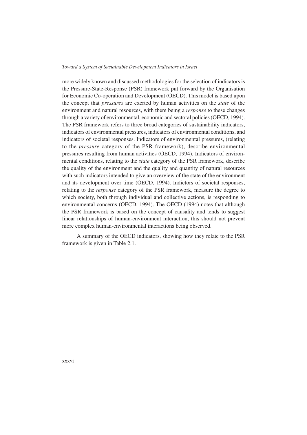more widely known and discussed methodologies for the selection of indicators is the Pressure-State-Response (PSR) framework put forward by the Organisation for Economic Co-operation and Development (OECD). This model is based upon the concept that *pressures* are exerted by human activities on the *state* of the environment and natural resources, with there being a *response* to these changes through a variety of environmental, economic and sectoral policies (OECD, 1994). The PSR framework refers to three broad categories of sustainability indicators, indicators of environmental pressures, indicators of environmental conditions, and indicators of societal responses. Indicators of environmental pressures, (relating to the *pressure* category of the PSR framework), describe environmental pressures resulting from human activities (OECD, 1994). Indicators of environmental conditions, relating to the *state* category of the PSR framework, describe the quality of the environment and the quality and quantity of natural resources with such indicators intended to give an overview of the state of the environment and its development over time (OECD, 1994). Indictors of societal responses, relating to the *response* category of the PSR framework, measure the degree to which society, both through individual and collective actions, is responding to environmental concerns (OECD, 1994). The OECD (1994) notes that although the PSR framework is based on the concept of causality and tends to suggest linear relationships of human-environment interaction, this should not prevent more complex human-environmental interactions being observed.

A summary of the OECD indicators, showing how they relate to the PSR framework is given in Table 2.1.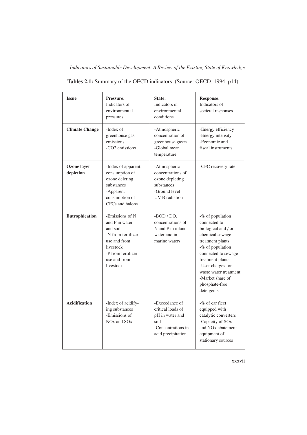| <b>Issue</b>             | Pressure:<br>Indicators of<br>environmental<br>pressures                                                                                            | State:<br>Indicators of<br>environmental<br>conditions                                                       | <b>Response:</b><br>Indicators of<br>societal responses                                                                                                                                                                                                         |
|--------------------------|-----------------------------------------------------------------------------------------------------------------------------------------------------|--------------------------------------------------------------------------------------------------------------|-----------------------------------------------------------------------------------------------------------------------------------------------------------------------------------------------------------------------------------------------------------------|
| <b>Climate Change</b>    | -Index of<br>greenhouse gas<br>emissions<br>$-CO2$ emissions                                                                                        | -Atmospheric<br>concentration of<br>greenhouse gases<br>-Global mean<br>temperature                          | -Energy efficiency<br>-Energy intensity<br>-Economic and<br>fiscal instruments                                                                                                                                                                                  |
| Ozone layer<br>depletion | -Index of apparent<br>consumption of<br>ozone deleting<br>substances<br>-Apparent<br>consumption of<br>CFCs and halons                              | -Atmospheric<br>concentrations of<br>ozone depleting<br>substances<br>-Ground level<br><b>UV-B</b> radiation | -CFC recovery rate                                                                                                                                                                                                                                              |
| Eutrophication           | -Emissions of N<br>and P in water<br>and soil<br>-N from fertilizer<br>use and from<br>livestock<br>-P from fertilizer<br>use and from<br>livestock | $-BOD / DO$ ,<br>concentrations of<br>N and P in inland<br>water and in<br>marine waters.                    | -% of population<br>connected to<br>biological and / or<br>chemical sewage<br>treatment plants<br>-% of population<br>connected to sewage<br>treatment plants<br>-User charges for<br>waste water treatment<br>-Market share of<br>phosphate-free<br>detergents |
| <b>Acidification</b>     | -Index of acidify-<br>ing substances<br>-Emissions of<br>NO <sub>x</sub> and SO <sub>x</sub>                                                        | -Exceedance of<br>critical loads of<br>pH in water and<br>soil<br>-Concentrations in<br>acid precipitation   | $-\%$ of car fleet<br>equipped with<br>catalytic converters<br>-Capacity of SO <sub>x</sub><br>and NO <sub>x</sub> abatement<br>equipment of<br>stationary sources                                                                                              |

| Tables 2.1: Summary of the OECD indicators. (Source: OECD, 1994, p14). |  |  |
|------------------------------------------------------------------------|--|--|
|                                                                        |  |  |

xxxvii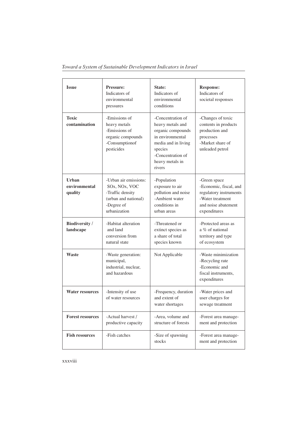| <b>Issue</b>                       | <b>Pressure:</b><br>Indicators of<br>environmental<br>pressures                                                  | State:<br>Indicators of<br>environmental<br>conditions                                                                                                             | <b>Response:</b><br>Indicators of<br>societal responses                                                                     |
|------------------------------------|------------------------------------------------------------------------------------------------------------------|--------------------------------------------------------------------------------------------------------------------------------------------------------------------|-----------------------------------------------------------------------------------------------------------------------------|
| <b>Toxic</b><br>contamination      | -Emissions of<br>heavy metals<br>-Emissions of<br>organic compounds<br>-Consumptionof<br>pesticides              | -Concentration of<br>heavy metals and<br>organic compounds<br>in environmental<br>media and in living<br>species<br>-Concentration of<br>heavy metals in<br>rivers | -Changes of toxic<br>contents in products<br>production and<br>processes<br>-Market share of<br>unleaded petrol             |
| Urban<br>environmental<br>quality  | -Urban air emissions:<br>SOx, NOx, VOC<br>-Traffic density<br>(urban and national)<br>-Degree of<br>urbanization | -Population<br>exposure to air<br>pollution and noise<br>-Ambient water<br>conditions in<br>urban areas                                                            | -Green space<br>-Economic, fiscal, and<br>regulatory instruments<br>-Water treatment<br>and noise abatement<br>expenditures |
| <b>Biodiversity</b> /<br>landscape | -Habitat alteration<br>and land<br>conversion from<br>natural state                                              | -Threatened or<br>extinct species as<br>a share of total<br>species known                                                                                          | -Protected areas as<br>a % of national<br>territory and type<br>of ecosystem                                                |
| Waste                              | -Waste generation:<br>municipal,<br>industrial, nuclear,<br>and hazardous                                        | Not Applicable                                                                                                                                                     | -Waste minimization<br>-Recycling rate<br>-Economic and<br>fiscal instruments,<br>expenditures                              |
| <b>Water resources</b>             | -Intensity of use<br>of water resources                                                                          | -Frequency, duration<br>and extent of<br>water shortages                                                                                                           | -Water prices and<br>user charges for<br>sewage treatment                                                                   |
| <b>Forest resources</b>            | -Actual harvest /<br>productive capacity                                                                         | -Area, volume and<br>structure of forests                                                                                                                          | -Forest area manage-<br>ment and protection                                                                                 |
| <b>Fish resources</b>              | -Fish catches                                                                                                    | -Size of spawning<br>stocks                                                                                                                                        | -Forest area manage-<br>ment and protection                                                                                 |

*Toward a System of Sustainable Development Indicators in Israel*

xxxviii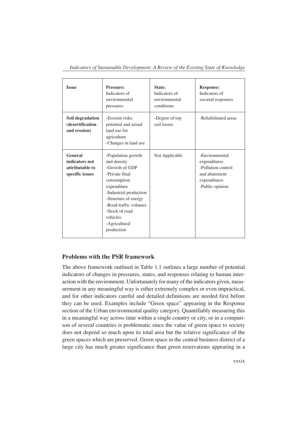| <b>Issue</b>                                                    | <b>Pressure:</b><br>Indicators of<br>environmental<br>pressures                                                                                                                                                                             | State:<br>Indicators of<br>environmental<br>conditions | <b>Response:</b><br>Indicators of<br>societal responses                                                  |
|-----------------------------------------------------------------|---------------------------------------------------------------------------------------------------------------------------------------------------------------------------------------------------------------------------------------------|--------------------------------------------------------|----------------------------------------------------------------------------------------------------------|
| Soil degradation<br>(desertification<br>and erosion)            | -Erosion risks:<br>potential and actual<br>land use for<br>agriculture<br>-Changes in land use                                                                                                                                              | -Degree of top<br>soil losses                          | -Rehabilitated areas                                                                                     |
| General<br>indicators not<br>attributable to<br>specific issues | -Population growth<br>and density<br>-Growth of GDP<br>-Private final<br>consumption<br>expenditure<br>-Industrial production<br>-Structure of energy<br>-Road traffic volumes<br>-Stock of road<br>vehicles<br>-Agricultural<br>production | Not Applicable                                         | -Environmental<br>expenditures<br>-Pollution control<br>and abatement<br>expenditures<br>-Public opinion |

*Indicators of Sustainable Development: A Review of the Existing State of Knowledge*

## **Problems with the PSR framework**

The above framework outlined in Table 1.1 outlines a large number of potential indicators of changes in pressures, states, and responses relating to human interaction with the environment. Unfortunately for many of the indicators given, measurement in any meaningful way is either extremely complex or even impractical, and for other indicators careful and detailed definitions are needed first before they can be used. Examples include "Green space" appearing in the Response section of the Urban environmental quality category. Quantifiably measuring this in a meaningful way across time within a single country or city, or in a comparison of several countries is problematic since the value of green space to society does not depend so much upon its total area but the relative significance of the green spaces which are preserved. Green space in the central business district of a large city has much greater significance than green reservations appearing in a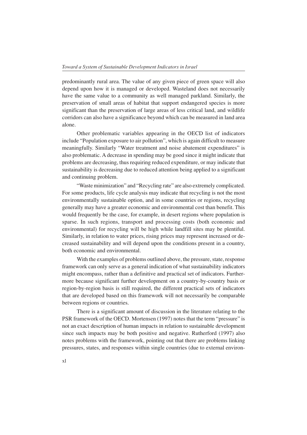predominantly rural area. The value of any given piece of green space will also depend upon how it is managed or developed. Wasteland does not necessarily have the same value to a community as well managed parkland. Similarly, the preservation of small areas of habitat that support endangered species is more significant than the preservation of large areas of less critical land, and wildlife corridors can also have a significance beyond which can be measured in land area alone.

Other problematic variables appearing in the OECD list of indicators include "Population exposure to air pollution", which is again difficult to measure meaningfully. Similarly "Water treatment and noise abatement expenditures" is also problematic. A decrease in spending may be good since it might indicate that problems are decreasing, thus requiring reduced expenditure, or may indicate that sustainability is decreasing due to reduced attention being applied to a significant and continuing problem.

"Waste minimization" and "Recycling rate" are also extremely complicated. For some products, life cycle analysis may indicate that recycling is not the most environmentally sustainable option, and in some countries or regions, recycling generally may have a greater economic and environmental cost than benefit. This would frequently be the case, for example, in desert regions where population is sparse. In such regions, transport and processing costs (both economic and environmental) for recycling will be high while landfill sites may be plentiful. Similarly, in relation to water prices, rising prices may represent increased or decreased sustainability and will depend upon the conditions present in a country, both economic and environmental.

With the examples of problems outlined above, the pressure, state, response framework can only serve as a general indication of what sustainability indicators might encompass, rather than a definitive and practical set of indicators. Furthermore because significant further development on a country-by-country basis or region-by-region basis is still required, the different practical sets of indicators that are developed based on this framework will not necessarily be comparable between regions or countries.

There is a significant amount of discussion in the literature relating to the PSR framework of the OECD. Mortensen (1997) notes that the term "pressure" is not an exact description of human impacts in relation to sustainable development since such impacts may be both positive and negative. Rutherford (1997) also notes problems with the framework, pointing out that there are problems linking pressures, states, and responses within single countries (due to external environ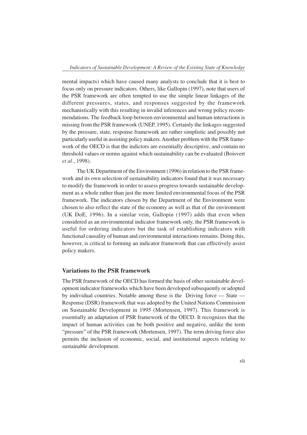mental impacts) which have caused many analysts to conclude that it is best to focus only on pressure indicators. Others, like Gallopin (1997), note that users of the PSR framework are often tempted to use the simple linear linkages of the different pressures, states, and responses suggested by the framework mechanistically with this resulting in invalid inferences and wrong policy recommendations. The feedback loop between environmental and human interactions is missing from the PSR framework (UNEP, 1995). Certainly the linkages suggested by the pressure, state, response framework are rather simplistic and possibly not particularly useful in assisting policy makers. Another problem with the PSR framework of the OECD is that the indictors are essentially descriptive, and contain no threshold values or norms against which sustainability can be evaluated (Boisvert *et al.*, 1998).

The UK Department of the Environment (1996) in relation to the PSR framework and its own selection of sustainability indicators found that it was necessary to modify the framework in order to assess progress towards sustainable development as a whole rather than just the more limited environmental focus of the PSR framework. The indicators chosen by the Department of the Environment were chosen to also reflect the state of the economy as well as that of the environment (UK DoE, 1996). In a similar vein, Gallopin (1997) adds that even when considered as an environmental indicator framework only, the PSR framework is useful for ordering indicators but the task of establishing indicators with functional causality of human and environmental interactions remains. Doing this, however, is critical to forming an indicator framework that can effectively assist policy makers.

#### **Variations to the PSR framework**

The PSR framework of the OECD has formed the basis of other sustainable development indicator frameworks which have been developed subsequently or adopted by individual countries. Notable among these is the Driving force — State — Response (DSR) framework that was adopted by the United Nations Commission on Sustainable Development in 1995 (Mortensen, 1997). This framework is essentially an adaptation of PSR framework of the OECD. It recognizes that the impact of human activities can be both positive and negative, unlike the term "pressure" of the PSR framework (Mortensen, 1997). The term driving force also permits the inclusion of economic, social, and institutional aspects relating to sustainable development.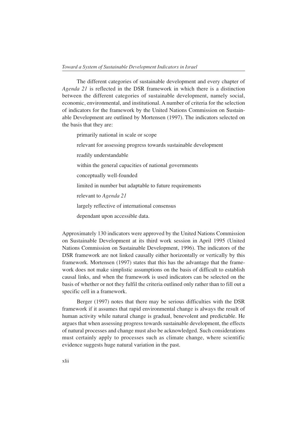The different categories of sustainable development and every chapter of *Agenda 21* is reflected in the DSR framework in which there is a distinction between the different categories of sustainable development, namely social, economic, environmental, and institutional. A number of criteria for the selection of indicators for the framework by the United Nations Commission on Sustainable Development are outlined by Mortensen (1997). The indicators selected on the basis that they are:

primarily national in scale or scope

relevant for assessing progress towards sustainable development

readily understandable

within the general capacities of national governments

conceptually well-founded

limited in number but adaptable to future requirements

relevant to *Agenda 21*

largely reflective of international consensus

dependant upon accessible data.

Approximately 130 indicators were approved by the United Nations Commission on Sustainable Development at its third work session in April 1995 (United Nations Commission on Sustainable Development, 1996). The indicators of the DSR framework are not linked causally either horizontally or vertically by this framework. Mortensen (1997) states that this has the advantage that the framework does not make simplistic assumptions on the basis of difficult to establish causal links, and when the framework is used indicators can be selected on the basis of whether or not they fulfil the criteria outlined only rather than to fill out a specific cell in a framework.

Berger (1997) notes that there may be serious difficulties with the DSR framework if it assumes that rapid environmental change is always the result of human activity while natural change is gradual, benevolent and predictable. He argues that when assessing progress towards sustainable development, the effects of natural processes and change must also be acknowledged. Such considerations must certainly apply to processes such as climate change, where scientific evidence suggests huge natural variation in the past.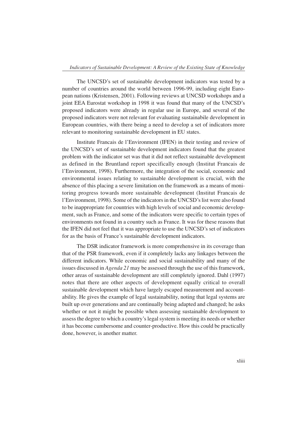The UNCSD's set of sustainable development indicators was tested by a number of countries around the world between 1996-99, including eight European nations (Kristensen, 2001). Following reviews at UNCSD workshops and a joint EEA Eurostat workshop in 1998 it was found that many of the UNCSD's proposed indicators were already in regular use in Europe, and several of the proposed indicators were not relevant for evaluating sustainabile development in European countries, with there being a need to develop a set of indicators more relevant to monitoring sustainable development in EU states.

Institute Francais de l'Environment (IFEN) in their testing and review of the UNCSD's set of sustainable development indicators found that the greatest problem with the indicator set was that it did not reflect sustainable development as defined in the Bruntland report specifically enough (Institut Francais de l'Environment, 1998). Furthermore, the integration of the social, economic and environmental issues relating to sustainable development is crucial, with the absence of this placing a severe limitation on the framework as a means of monitoring progress towards more sustainable development (Institut Francais de l'Environment, 1998). Some of the indicators in the UNCSD's list were also found to be inappropriate for countries with high levels of social and economic development, such as France, and some of the indicators were specific to certain types of environments not found in a country such as France. It was for these reasons that the IFEN did not feel that it was appropriate to use the UNCSD's set of indicators for as the basis of France's sustainable development indicators.

The DSR indicator framework is more comprehensive in its coverage than that of the PSR framework, even if it completely lacks any linkages between the different indicators. While economic and social sustainability and many of the issues discussed in *Agenda 21* may be assessed through the use of this framework, other areas of sustainable development are still completely ignored. Dahl (1997) notes that there are other aspects of development equally critical to overall sustainable development which have largely escaped measurement and accountability. He gives the example of legal sustainability, noting that legal systems are built up over generations and are continually being adapted and changed; he asks whether or not it might be possible when assessing sustainable development to assess the degree to which a country's legal system is meeting its needs or whether it has become cumbersome and counter-productive. How this could be practically done, however, is another matter.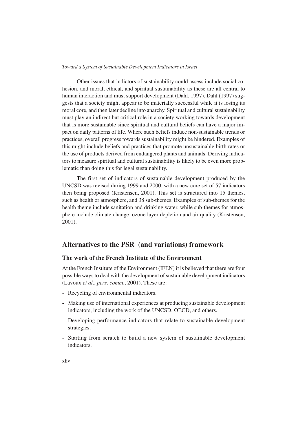Other issues that indictors of sustainability could assess include social cohesion, and moral, ethical, and spiritual sustainability as these are all central to human interaction and must support development (Dahl, 1997). Dahl (1997) suggests that a society might appear to be materially successful while it is losing its moral core, and then later decline into anarchy. Spiritual and cultural sustainability must play an indirect but critical role in a society working towards development that is more sustainable since spiritual and cultural beliefs can have a major impact on daily patterns of life. Where such beliefs induce non-sustainable trends or practices, overall progress towards sustainability might be hindered. Examples of this might include beliefs and practices that promote unsustainable birth rates or the use of products derived from endangered plants and animals. Deriving indicators to measure spiritual and cultural sustainability is likely to be even more problematic than doing this for legal sustainability.

The first set of indicators of sustainable development produced by the UNCSD was revised during 1999 and 2000, with a new core set of 57 indicators then being proposed (Kristensen, 2001). This set is structured into 15 themes, such as health or atmosphere, and 38 sub-themes. Examples of sub-themes for the health theme include sanitation and drinking water, while sub-themes for atmosphere include climate change, ozone layer depletion and air quality (Kristensen, 2001).

## **Alternatives to the PSR (and variations) framework**

### **The work of the French Institute of the Environment**

At the French Institute of the Environment (IFEN) it is believed that there are four possible ways to deal with the development of sustainable development indicators (Lavoux *et al.*, *pers. comm.,* 2001). These are:

- Recycling of environmental indicators.
- Making use of international experiences at producing sustainable development indicators, including the work of the UNCSD, OECD, and others.
- Developing performance indicators that relate to sustainable development strategies.
- Starting from scratch to build a new system of sustainable development indicators.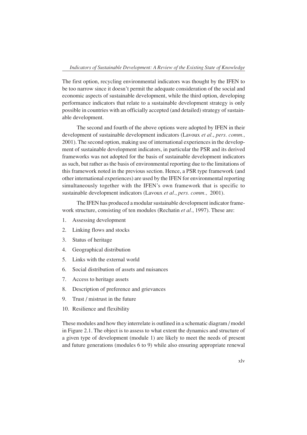The first option, recycling environmental indicators was thought by the IFEN to be too narrow since it doesn't permit the adequate consideration of the social and economic aspects of sustainable development, while the third option, developing performance indicators that relate to a sustainable development strategy is only possible in countries with an officially accepted (and detailed) strategy of sustainable development.

The second and fourth of the above options were adopted by IFEN in their development of sustainable development indicators (Lavoux *et al.*, *pers. comm.,* 2001). The second option, making use of international experiences in the development of sustainable development indicators, in particular the PSR and its derived frameworks was not adopted for the basis of sustainable development indicators as such, but rather as the basis of environmental reporting due to the limitations of this framework noted in the previous section. Hence, a PSR type framework (and other international experiences) are used by the IFEN for environmental reporting simultaneously together with the IFEN's own framework that is specific to sustainable development indicators (Lavoux *et al.*, *pers. comm.,* 2001).

The IFEN has produced a modular sustainable development indicator framework structure, consisting of ten modules (Rechatin *et al.*, 1997). These are:

- 1. Assessing development
- 2. Linking flows and stocks
- 3. Status of heritage
- 4. Geographical distribution
- 5. Links with the external world
- 6. Social distribution of assets and nuisances
- 7. Access to heritage assets
- 8. Description of preference and grievances
- 9. Trust / mistrust in the future
- 10. Resilience and flexibility

These modules and how they interrelate is outlined in a schematic diagram / model in Figure 2.1. The object is to assess to what extent the dynamics and structure of a given type of development (module 1) are likely to meet the needs of present and future generations (modules 6 to 9) while also ensuring appropriate renewal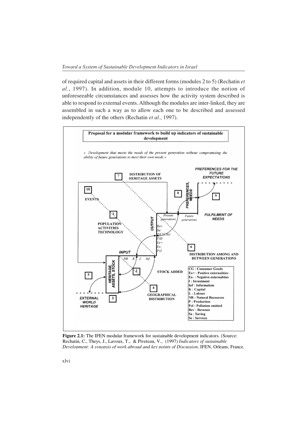of required capital and assets in their different forms (modules 2 to 5) (Rechatin *et al.*, 1997). In addition, module 10, attempts to introduce the notion of unforeseeable circumstances and assesses how the activity system described is able to respond to external events. Although the modules are inter-linked, they are assembled in such a way as to allow each one to be described and assessed independently of the others (Rechatin *et al.*, 1997).



**Figure 2.1:** The IFEN modular framework for sustainable development indicators. (Source: Rechatin, C., Theys, J., Lavoux, T., & Piveteau, V., (1997) *Indicators of sustainable Development: A synopsis of work abroad and key points of Discussion*, IFEN, Orleans, France.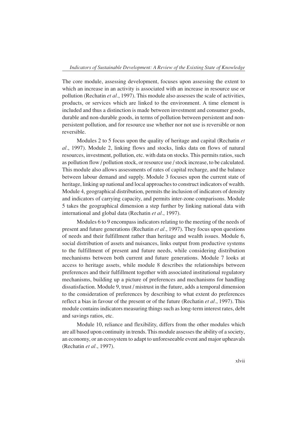The core module, assessing development, focuses upon assessing the extent to which an increase in an activity is associated with an increase in resource use or pollution (Rechatin *et al.*, 1997). This module also assesses the scale of activities, products, or services which are linked to the environment. A time element is included and thus a distinction is made between investment and consumer goods, durable and non-durable goods, in terms of pollution between persistent and nonpersistent pollution, and for resource use whether nor not use is reversible or non reversible.

Modules 2 to 5 focus upon the quality of heritage and capital (Rechatin *et al.*, 1997). Module 2, linking flows and stocks, links data on flows of natural resources, investment, pollution, etc. with data on stocks. This permits ratios, such as pollution flow / pollution stock, or resource use / stock increase, to be calculated. This module also allows assessments of rates of capital recharge, and the balance between labour demand and supply. Module 3 focuses upon the current state of heritage, linking up national and local approaches to construct indicators of wealth. Module 4, geographical distribution, permits the inclusion of indicators of density and indicators of carrying capacity, and permits inter-zone comparisons. Module 5 takes the geographical dimension a step further by linking national data with international and global data (Rechatin *et al.*, 1997).

Modules 6 to 9 encompass indicators relating to the meeting of the needs of present and future generations (Rechatin *et al.*, 1997). They focus upon questions of needs and their fulfillment rather than heritage and wealth issues. Module 6, social distribution of assets and nuisances, links output from productive systems to the fulfillment of present and future needs, while considering distribution mechanisms between both current and future generations. Module 7 looks at access to heritage assets, while module 8 describes the relationships between preferences and their fulfillment together with associated institutional regulatory mechanisms, building up a picture of preferences and mechanisms for handling dissatisfaction. Module 9, trust / mistrust in the future, adds a temporal dimension to the consideration of preferences by describing to what extent do preferences reflect a bias in favour of the present or of the future (Rechatin *et al.*, 1997). This module contains indicators measuring things such as long-term interest rates, debt and savings ratios, etc.

Module 10, reliance and flexibility, differs from the other modules which are all based upon continuity in trends. This module assesses the ability of a society, an economy, or an ecosystem to adapt to unforeseeable event and major upheavals (Rechatin *et al.*, 1997).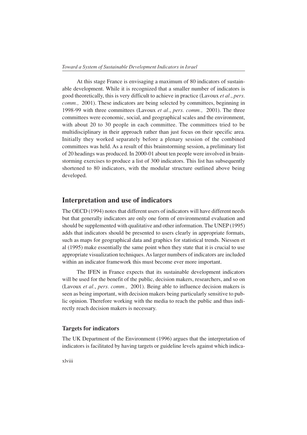At this stage France is envisaging a maximum of 80 indicators of sustainable development. While it is recognized that a smaller number of indicators is good theoretically, this is very difficult to achieve in practice (Lavoux *et al.*, *pers. comm.,* 2001). These indicators are being selected by committees, beginning in 1998-99 with three committees (Lavoux *et al.*, *pers. comm.,* 2001). The three committees were economic, social, and geographical scales and the environment, with about 20 to 30 people in each committee. The committees tried to be multidisciplinary in their approach rather than just focus on their specific area. Initially they worked separately before a plenary session of the combined committees was held. As a result of this brainstorming session, a preliminary list of 20 headings was produced. In 2000-01 about ten people were involved in brainstorming exercises to produce a list of 300 indicators. This list has subsequently shortened to 80 indicators, with the modular structure outlined above being developed.

## **Interpretation and use of indicators**

The OECD (1994) notes that different users of indicators will have different needs but that generally indicators are only one form of environmental evaluation and should be supplemented with qualitative and other information. The UNEP (1995) adds that indicators should be presented to users clearly in appropriate formats, such as maps for geographical data and graphics for statistical trends. Niessen et al (1995) make essentially the same point when they state that it is crucial to use appropriate visualization techniques. As larger numbers of indicators are included within an indicator framework this must become ever more important.

The IFEN in France expects that its sustainable development indicators will be used for the benefit of the public, decision makers, researchers, and so on (Lavoux *et al.*, *pers. comm.,* 2001). Being able to influence decision makers is seen as being important, with decision makers being particularly sensitive to public opinion. Therefore working with the media to reach the public and thus indirectly reach decision makers is necessary.

#### **Targets for indicators**

The UK Department of the Environment (1996) argues that the interpretation of indicators is facilitated by having targets or guideline levels against which indica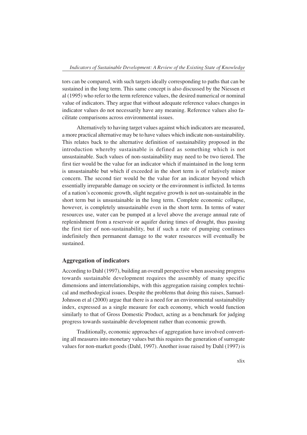tors can be compared, with such targets ideally corresponding to paths that can be sustained in the long term. This same concept is also discussed by the Niessen et al (1995) who refer to the term reference values, the desired numerical or nominal value of indicators. They argue that without adequate reference values changes in indicator values do not necessarily have any meaning. Reference values also facilitate comparisons across environmental issues.

Alternatively to having target values against which indicators are measured, a more practical alternative may be to have values which indicate non-sustainability. This relates back to the alternative definition of sustainability proposed in the introduction whereby sustainable is defined as something which is not unsustainable. Such values of non-sustainability may need to be two tiered. The first tier would be the value for an indicator which if maintained in the long term is unsustainable but which if exceeded in the short term is of relatively minor concern. The second tier would be the value for an indicator beyond which essentially irreparable damage on society or the environment is inflicted. In terms of a nation's economic growth, slight negative growth is not un-sustainable in the short term but is unsustainable in the long term. Complete economic collapse, however, is completely unsustainable even in the short term. In terms of water resources use, water can be pumped at a level above the average annual rate of replenishment from a reservoir or aquifer during times of drought, thus passing the first tier of non-sustainability, but if such a rate of pumping continues indefinitely then permanent damage to the water resources will eventually be sustained.

#### **Aggregation of indicators**

According to Dahl (1997), building an overall perspective when assessing progress towards sustainable development requires the assembly of many specific dimensions and interrelationships, with this aggregation raising complex technical and methodogical issues. Despite the problems that doing this raises, Samuel-Johnson et al (2000) argue that there is a need for an environmental sustainability index, expressed as a single measure for each economy, which would function similarly to that of Gross Domestic Product, acting as a benchmark for judging progress towards sustainable development rather than economic growth.

Traditionally, economic approaches of aggregation have involved converting all measures into monetary values but this requires the generation of surrogate values for non-market goods (Dahl, 1997). Another issue raised by Dahl (1997) is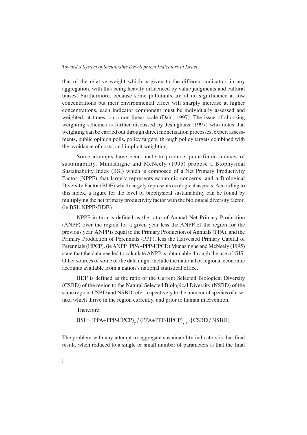that of the relative weight which is given to the different indicators in any aggregation, with this being heavily influenced by value judgments and cultural biases. Furthermore, because some pollutants are of no significance at low concentrations but their environmental effect will sharply increase at higher concentrations, each indicator component must be individually assessed and weighted, at times, on a non-linear scale (Dahl, 1997). The issue of choosing weighting schemes is further discussed by Jesinghaus (1997) who notes that weighting can be carried out through direct monetisation processes, expert assessments, public opinion polls, policy targets, through policy targets combined with the avoidance of costs, and implicit weighting.

Some attempts have been made to produce quantifiable indexes of sustainability. Munasinghe and McNeely (1995) propose a Biophysical Sustainability Index (BSI) which is composed of a Net Primary Productivity Factor (NPPF) that largely represents economic concerns, and a Biological Diversity Factor (BDF) which largely represents ecological aspects. According to this index, a figure for the level of biophysical sustainability can be found by multiplying the net primary productivity factor with the biological diversity factor. (ie BSI=NPPFxBDF.)

NPPF in turn is defined as the ratio of Annual Net Primary Production (ANPP) over the region for a given year less the ANPP of the region for the previous year. ANPP is equal to the Primary Production of Annuals (PPA), and the Primary Production of Perennials (PPP), less the Harvested Primary Capital of Perennials (HPCP). (ie ANPP=PPA+PPP-HPCP.) Munasinghe and McNeely (1995) state that the data needed to calculate ANPP is obtainable through the use of GIS. Other sources of some of the data might include the national or regional economic accounts available from a nation's national statistical office.

BDF is defined as the ratio of the Current Selected Biological Diversity (CSBD) of the region to the Natural Selected Biological Diversity (NSBD) of the same region. CSBD and NSBD refer respectively to the number of species of a set taxa which thrive in the region currently, and prior to human intervention.

Therefore:

BSI={(PPA+PPP-HPCP)<sub>y</sub>/(PPA+PPP-HPCP)<sub>y-1</sub>}{CSBD/NSBD}

The problem with any attempt to aggregate sustainability indicators is that final result, when reduced to a single or small number of parameters is that the final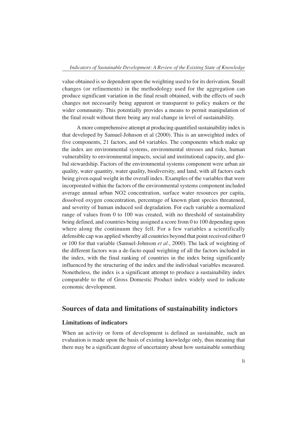value obtained is so dependent upon the weighting used to for its derivation. Small changes (or refinements) in the methodology used for the aggregation can produce significant variation in the final result obtained, with the effects of such changes not necessarily being apparent or transparent to policy makers or the wider community. This potentially provides a means to permit manipulation of the final result without there being any real change in level of sustainability.

A more comprehensive attempt at producing quantified sustainability index is that developed by Samuel-Johnson et al (2000). This is an unweighted index of five components, 21 factors, and 64 variables. The components which make up the index are environmental systems, environmental stresses and risks, human vulnerability to environmental impacts, social and institutional capacity, and global stewardship. Factors of the environmental systems component were urban air quality, water quantity, water quality, biodiversity, and land, with all factors each being given equal weight in the overall index. Examples of the variables that were incorporated within the factors of the environmental systems component included average annual urban NO2 concentration, surface water resources per capita, dissolved oxygen concentration, percentage of known plant species threatened, and severity of human induced soil degradation. For each variable a normalized range of values from 0 to 100 was created, with no threshold of sustainability being defined, and countries being assigned a score from 0 to 100 depending upon where along the continuum they fell. For a few variables a scientifically defensible cap was applied whereby all countries beyond that point received either 0 or 100 for that variable (Samuel-Johnson *et al.*, 2000). The lack of weighting of the different factors was a de-facto equal weighting of all the factors included in the index, with the final ranking of countries in the index being significantly influenced by the structuring of the index and the individual variables measured. Nonetheless, the index is a significant attempt to produce a sustainability index comparable to the of Gross Domestic Product index widely used to indicate economic development.

### **Sources of data and limitations of sustainability indictors**

#### **Limitations of indicators**

When an activity or form of development is defined as sustainable, such an evaluation is made upon the basis of existing knowledge only, thus meaning that there may be a significant degree of uncertainty about how sustainable something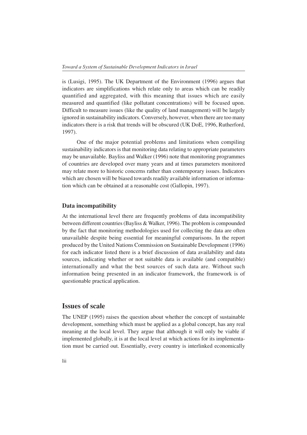is (Lusigi, 1995). The UK Department of the Environment (1996) argues that indicators are simplifications which relate only to areas which can be readily quantified and aggregated, with this meaning that issues which are easily measured and quantified (like pollutant concentrations) will be focused upon. Difficult to measure issues (like the quality of land management) will be largely ignored in sustainability indicators. Conversely, however, when there are too many indicators there is a risk that trends will be obscured (UK DoE, 1996, Rutherford, 1997).

One of the major potential problems and limitations when compiling sustainability indicators is that monitoring data relating to appropriate parameters may be unavailable. Bayliss and Walker (1996) note that monitoring programmes of countries are developed over many years and at times parameters monitored may relate more to historic concerns rather than contemporary issues. Indicators which are chosen will be biased towards readily available information or information which can be obtained at a reasonable cost (Gallopin, 1997).

#### **Data incompatibility**

At the international level there are frequently problems of data incompatibility between different countries (Bayliss & Walker, 1996). The problem is compounded by the fact that monitoring methodologies used for collecting the data are often unavailable despite being essential for meaningful comparisons. In the report produced by the United Nations Commission on Sustainable Development (1996) for each indicator listed there is a brief discussion of data availability and data sources, indicating whether or not suitable data is available (and compatible) internationally and what the best sources of such data are. Without such information being presented in an indicator framework, the framework is of questionable practical application.

# **Issues of scale**

The UNEP (1995) raises the question about whether the concept of sustainable development, something which must be applied as a global concept, has any real meaning at the local level. They argue that although it will only be viable if implemented globally, it is at the local level at which actions for its implementation must be carried out. Essentially, every country is interlinked economically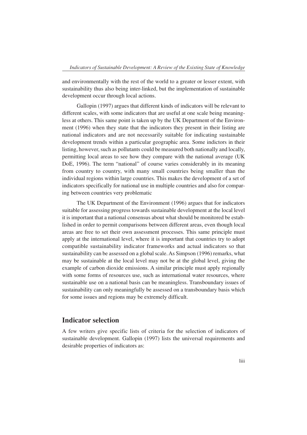and environmentally with the rest of the world to a greater or lesser extent, with sustainability thus also being inter-linked, but the implementation of sustainable development occur through local actions.

Gallopin (1997) argues that different kinds of indicators will be relevant to different scales, with some indicators that are useful at one scale being meaningless at others. This same point is taken up by the UK Department of the Environment (1996) when they state that the indicators they present in their listing are national indicators and are not necessarily suitable for indicating sustainable development trends within a particular geographic area. Some indictors in their listing, however, such as pollutants could be measured both nationally and locally, permitting local areas to see how they compare with the national average (UK DoE, 1996). The term "national" of course varies considerably in its meaning from country to country, with many small countries being smaller than the individual regions within large countries. This makes the development of a set of indicators specifically for national use in multiple countries and also for comparing between countries very problematic

The UK Department of the Environment (1996) argues that for indicators suitable for assessing progress towards sustainable development at the local level it is important that a national consensus about what should be monitored be established in order to permit comparisons between different areas, even though local areas are free to set their own assessment processes. This same principle must apply at the international level, where it is important that countries try to adopt compatible sustainability indicator frameworks and actual indicators so that sustainability can be assessed on a global scale. As Simpson (1996) remarks, what may be sustainable at the local level may not be at the global level, giving the example of carbon dioxide emissions. A similar principle must apply regionally with some forms of resources use, such as international water resources, where sustainable use on a national basis can be meaningless. Transboundary issues of sustainability can only meaningfully be assessed on a transboundary basis which for some issues and regions may be extremely difficult.

# **Indicator selection**

A few writers give specific lists of criteria for the selection of indicators of sustainable development. Gallopin (1997) lists the universal requirements and desirable properties of indicators as: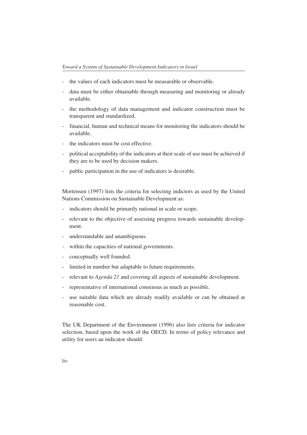- the values of each indicators must be measurable or observable.
- data must be either obtainable through measuring and monitoring or already available.
- the methodology of data management and indicator construction must be transparent and standardized.
- financial, human and technical means for monitoring the indicators should be available.
- the indicators must be cost effective.
- political acceptability of the indicators at their scale of use must be achieved if they are to be used by decision makers.
- public participation in the use of indicators is desirable.

Mortensen (1997) lists the criteria for selecting indictors as used by the United Nations Commission on Sustainable Development as:

- indicators should be primarily national in scale or scope.
- relevant to the objective of assessing progress towards sustainable development.
- understandable and unambiguous.
- within the capacities of national governments.
- conceptually well founded.
- limited in number but adaptable to future requirements.
- relevant to *Agenda 21* and covering all aspects of sustainable development.
- representative of international consensus as much as possible.
- use suitable data which are already readily available or can be obtained at reasonable cost.

The UK Department of the Environment (1996) also lists criteria for indicator selection, based upon the work of the OECD. In terms of policy relevance and utility for users an indicator should: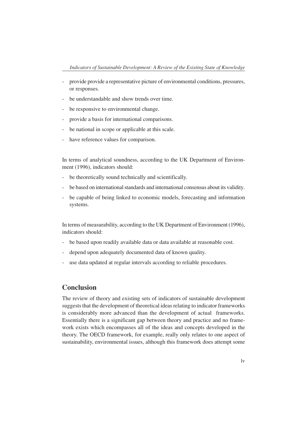- provide provide a representative picture of environmental conditions, pressures, or responses.
- be understandable and show trends over time.
- be responsive to environmental change.
- provide a basis for international comparisons.
- be national in scope or applicable at this scale.
- have reference values for comparison.

In terms of analytical soundness, according to the UK Department of Environment (1996), indicators should:

- be theoretically sound technically and scientifically.
- be based on international standards and international consensus about its validity.
- be capable of being linked to economic models, forecasting and information systems.

In terms of measurability, according to the UK Department of Environment (1996), indicators should:

- be based upon readily available data or data available at reasonable cost.
- depend upon adequately documented data of known quality.
- use data updated at regular intervals according to reliable procedures.

## **Conclusion**

The review of theory and existing sets of indicators of sustainable development suggests that the development of theoretical ideas relating to indicator frameworks is considerably more advanced than the development of actual frameworks. Essentially there is a significant gap between theory and practice and no framework exists which encompasses all of the ideas and concepts developed in the theory. The OECD framework, for example, really only relates to one aspect of sustainability, environmental issues, although this framework does attempt some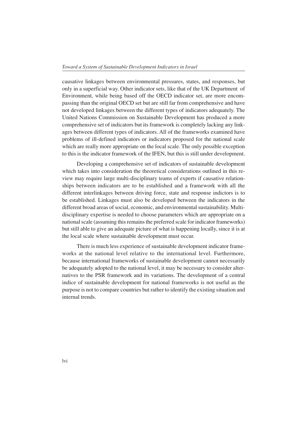causative linkages between environmental pressures, states, and responses, but only in a superficial way. Other indicator sets, like that of the UK Department of Environment, while being based off the OECD indicator set, are more encompassing than the original OECD set but are still far from comprehensive and have not developed linkages between the different types of indicators adequately. The United Nations Commission on Sustainable Development has produced a more comprehensive set of indicators but its framework is completely lacking any linkages between different types of indicators. All of the frameworks examined have problems of ill-defined indicators or indicators proposed for the national scale which are really more appropriate on the local scale. The only possible exception to this is the indicator framework of the IFEN, but this is still under development.

Developing a comprehensive set of indicators of sustainable development which takes into consideration the theoretical considerations outlined in this review may require large multi-disciplinary teams of experts if causative relationships between indicators are to be established and a framework with all the different interlinkages between driving force, state and response indictors is to be established. Linkages must also be developed between the indicators in the different broad areas of social, economic, and environmental sustainability. Multidisciplinary expertise is needed to choose parameters which are appropriate on a national scale (assuming this remains the preferred scale for indicator frameworks) but still able to give an adequate picture of what is happening locally, since it is at the local scale where sustainable development must occur.

There is much less experience of sustainable development indicator frameworks at the national level relative to the international level. Furthermore, because international frameworks of sustainable development cannot necessarily be adequately adopted to the national level, it may be necessary to consider alternatives to the PSR framework and its variations. The development of a central indice of sustainable development for national frameworks is not useful as the purpose is not to compare countries but rather to identify the existing situation and internal trends.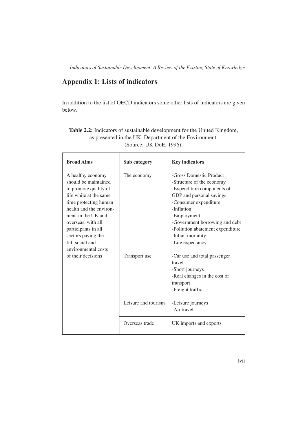# **Appendix 1: Lists of indicators**

In addition to the list of OECD indicators some other lists of indicators are given below.

| <b>Broad Aims</b>                                                                                                                                                                                                                                                                   | Sub category        | <b>Key indicators</b>                                                                                                                                                                                                                                                               |  |
|-------------------------------------------------------------------------------------------------------------------------------------------------------------------------------------------------------------------------------------------------------------------------------------|---------------------|-------------------------------------------------------------------------------------------------------------------------------------------------------------------------------------------------------------------------------------------------------------------------------------|--|
| A healthy economy<br>should be maintained<br>to promote quality of<br>life while at the same<br>time protecting human<br>health and the environ-<br>ment in the UK and<br>overseas, with all<br>participants in all<br>sectors paying the<br>full social and<br>environmental costs | The economy         | -Gross Domestic Product<br>-Structure of the economy<br>-Expenditure components of<br>GDP and personal savings<br>-Consumer expenditure<br>-Inflation<br>-Employment<br>-Government borrowing and debt<br>-Pollution abatement expenditure<br>-Infant mortality<br>-Life expectancy |  |
| of their decisions                                                                                                                                                                                                                                                                  | Transport use       | -Car use and total passenger<br>travel<br>-Short journeys<br>-Real changes in the cost of<br>transport<br>-Freight traffic                                                                                                                                                          |  |
|                                                                                                                                                                                                                                                                                     | Leisure and tourism | -Leisure journeys<br>-Air travel                                                                                                                                                                                                                                                    |  |
|                                                                                                                                                                                                                                                                                     | Overseas trade      | UK imports and exports                                                                                                                                                                                                                                                              |  |

| <b>Table 2.2:</b> Indicators of sustainable development for the United Kingdom, |
|---------------------------------------------------------------------------------|
| as presented in the UK Department of the Environment.                           |
| (Source: UK DoE, $1996$ ).                                                      |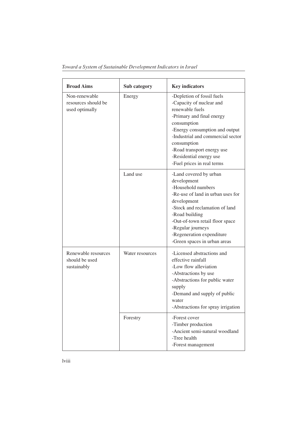|  | Toward a System of Sustainable Development Indicators in Israel |
|--|-----------------------------------------------------------------|
|  |                                                                 |

| <b>Broad Aims</b>                                      | Sub category    | <b>Key indicators</b>                                                                                                                                                                                                                                                                              |
|--------------------------------------------------------|-----------------|----------------------------------------------------------------------------------------------------------------------------------------------------------------------------------------------------------------------------------------------------------------------------------------------------|
| Non-renewable<br>resources should be<br>used optimally | Energy          | -Depletion of fossil fuels<br>-Capacity of nuclear and<br>renewable fuels<br>-Primary and final energy<br>consumption<br>-Energy consumption and output<br>-Industrial and commercial sector<br>consumption<br>-Road transport energy use<br>-Residential energy use<br>-Fuel prices in real terms |
|                                                        | Land use        | -Land covered by urban<br>development<br>-Household numbers<br>-Re-use of land in urban uses for<br>development<br>-Stock and reclamation of land<br>-Road building<br>-Out-of-town retail floor space<br>-Regular journeys<br>-Regeneration expenditure<br>-Green spaces in urban areas           |
| Renewable resources<br>should be used<br>sustainably   | Water resources | -Licensed abstractions and<br>effective rainfall<br>-Low flow alleviation<br>-Abstractions by use<br>-Abstractions for public water<br>supply<br>-Demand and supply of public<br>water<br>-Abstractions for spray irrigation                                                                       |
|                                                        | Forestry        | -Forest cover<br>-Timber production<br>-Ancient semi-natural woodland<br>-Tree health<br>-Forest management                                                                                                                                                                                        |

lviii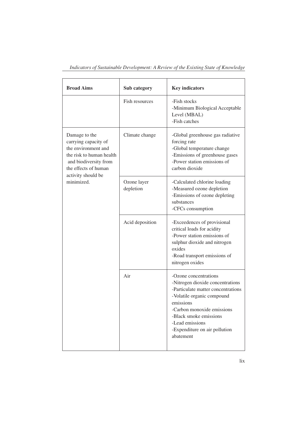| <b>Broad Aims</b>                                                                                                                                                             | Sub category             | <b>Key indicators</b>                                                                                                                                                                                                                                               |  |
|-------------------------------------------------------------------------------------------------------------------------------------------------------------------------------|--------------------------|---------------------------------------------------------------------------------------------------------------------------------------------------------------------------------------------------------------------------------------------------------------------|--|
|                                                                                                                                                                               | Fish resources           | -Fish stocks<br>-Minimum Biological Acceptable<br>Level (MBAL)<br>-Fish catches                                                                                                                                                                                     |  |
| Damage to the<br>carrying capacity of<br>the environment and<br>the risk to human health<br>and biodiversity from<br>the effects of human<br>activity should be<br>minimized. | Climate change           | -Global greenhouse gas radiative<br>forcing rate<br>-Global temperature change<br>-Emissions of greenhouse gases<br>-Power station emissions of<br>carbon dioxide                                                                                                   |  |
|                                                                                                                                                                               | Ozone layer<br>depletion | -Calculated chlorine loading<br>-Measured ozone depletion<br>-Emissions of ozone depleting<br>substances<br>-CFCs consumption                                                                                                                                       |  |
|                                                                                                                                                                               | Acid deposition          | -Exceedences of provisional<br>critical loads for acidity<br>-Power station emissions of<br>sulphur dioxide and nitrogen<br>oxides<br>-Road transport emissions of<br>nitrogen oxides                                                                               |  |
|                                                                                                                                                                               | Air                      | -Ozone concentrations<br>-Nitrogen dioxide concentrations<br>-Particulate matter concentrations<br>-Volatile organic compound<br>emissions<br>-Carbon monoxide emissions<br>-Black smoke emissions<br>-Lead emissions<br>-Expenditure on air pollution<br>abatement |  |

*Indicators of Sustainable Development: A Review of the Existing State of Knowledge*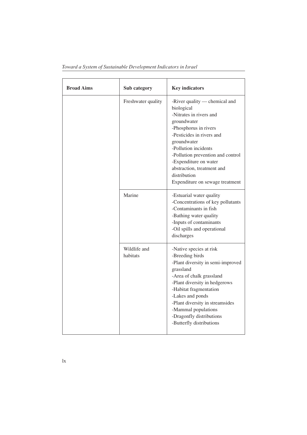| <b>Broad Aims</b> | Sub category             | <b>Key indicators</b>                                                                                                                                                                                                                                                                                                             |
|-------------------|--------------------------|-----------------------------------------------------------------------------------------------------------------------------------------------------------------------------------------------------------------------------------------------------------------------------------------------------------------------------------|
|                   | Freshwater quality       | -River quality — chemical and<br>biological<br>-Nitrates in rivers and<br>groundwater<br>-Phosphorus in rivers<br>-Pesticides in rivers and<br>groundwater<br>-Pollution incidents<br>-Pollution prevention and control<br>-Expenditure on water<br>abstraction, treatment and<br>distribution<br>Expenditure on sewage treatment |
|                   | Marine                   | -Estuarial water quality<br>-Concentrations of key pollutants<br>-Contaminants in fish<br>-Bathing water quality<br>-Inputs of contaminants<br>-Oil spills and operational<br>discharges                                                                                                                                          |
|                   | Wildlife and<br>habitats | -Native species at risk<br>-Breeding birds<br>-Plant diversity in semi-improved<br>grassland<br>-Area of chalk grassland<br>-Plant diversity in hedgerows<br>-Habitat fragmentation<br>-Lakes and ponds<br>-Plant diversity in streamsides<br>-Mammal populations<br>-Dragonfly distributions<br>-Butterfly distributions         |

*Toward a System of Sustainable Development Indicators in Israel*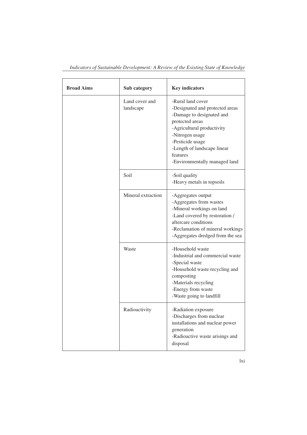| <b>Broad Aims</b> | Sub category                | <b>Key indicators</b>                                                                                                                                                                                                                                 |
|-------------------|-----------------------------|-------------------------------------------------------------------------------------------------------------------------------------------------------------------------------------------------------------------------------------------------------|
|                   | Land cover and<br>landscape | -Rural land cover<br>-Designated and protected areas<br>-Damage to designated and<br>protected areas<br>-Agricultural productivity<br>-Nitrogen usage<br>-Pesticide usage<br>-Length of landscape linear<br>features<br>-Environmentally managed land |
|                   | Soil                        | -Soil quality<br>-Heavy metals in topsoils                                                                                                                                                                                                            |
|                   | Mineral extraction          | -Aggregates output<br>-Aggregates from wastes<br>-Mineral workings on land<br>-Land covered by restoration /<br>aftercare conditions<br>-Reclamation of mineral workings<br>-Aggregates dredged from the sea                                          |
|                   | Waste                       | -Household waste<br>-Industrial and commercial waste<br>-Special waste<br>-Household waste recycling and<br>composting<br>-Materials recycling<br>-Energy from waste<br>-Waste going to landfill                                                      |
|                   | Radioactivity               | -Radiation exposure<br>-Discharges from nuclear<br>installations and nuclear power<br>generation<br>-Radioactive waste arisings and<br>disposal                                                                                                       |

*Indicators of Sustainable Development: A Review of the Existing State of Knowledge*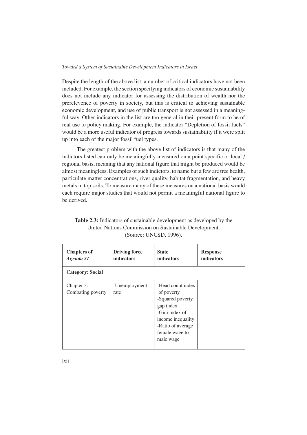Despite the length of the above list, a number of critical indicators have not been included. For example, the section specifying indicators of economic sustainability does not include any indicator for assessing the distribution of wealth nor the prerelevence of poverty in society, but this is critical to achieving sustainable economic development, and use of public transport is not assessed in a meaningful way. Other indicators in the list are too general in their present form to be of real use to policy making. For example, the indicator "Depletion of fossil fuels" would be a more useful indicator of progress towards sustainability if it were split up into each of the major fossil fuel types.

The greatest problem with the above list of indicators is that many of the indictors listed can only be meaningfully measured on a point specific or local / regional basis, meaning that any national figure that might be produced would be almost meaningless. Examples of such indictors, to name but a few are tree health, particulate matter concentrations, river quality, habitat fragmentation, and heavy metals in top soils. To measure many of these measures on a national basis would each require major studies that would not permit a meaningful national figure to be derived.

| <b>Chapters of</b><br>Agenda 21 | <b>Driving force</b><br><b>indicators</b> | <b>State</b><br><b>indicators</b>                                                                                                                           | <b>Response</b><br><b>indicators</b> |
|---------------------------------|-------------------------------------------|-------------------------------------------------------------------------------------------------------------------------------------------------------------|--------------------------------------|
| Category: Social                |                                           |                                                                                                                                                             |                                      |
| Chapter 3:<br>Combating poverty | -Unemployment<br>rate                     | -Head count index<br>of poverty<br>-Squared poverty<br>gap index<br>-Gini index of<br>income inequality<br>-Ratio of average<br>female wage to<br>male wage |                                      |

**Table 2.3:** Indicators of sustainable development as developed by the United Nations Commission on Sustainable Development. (Source: UNCSD, 1996).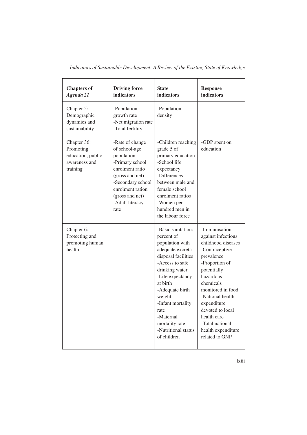| <b>Chapters of</b><br>Agenda 21                                            | <b>Driving force</b><br>indicators                                                                                                                                                             | <b>State</b><br>indicators                                                                                                                                                                                                                                                                         | <b>Response</b><br>indicators                                                                                                                                                                                                                                                                              |
|----------------------------------------------------------------------------|------------------------------------------------------------------------------------------------------------------------------------------------------------------------------------------------|----------------------------------------------------------------------------------------------------------------------------------------------------------------------------------------------------------------------------------------------------------------------------------------------------|------------------------------------------------------------------------------------------------------------------------------------------------------------------------------------------------------------------------------------------------------------------------------------------------------------|
| Chapter 5:<br>Demographic<br>dynamics and<br>sustainability                | -Population<br>growth rate<br>-Net migration rate<br>-Total fertility                                                                                                                          | -Population<br>density                                                                                                                                                                                                                                                                             |                                                                                                                                                                                                                                                                                                            |
| Chapter 36:<br>Promoting<br>education, public<br>awareness and<br>training | -Rate of change<br>of school-age<br>population<br>-Primary school<br>enrolment ratio<br>(gross and net)<br>-Secondary school<br>enrolment ration<br>(gross and net)<br>-Adult literacy<br>rate | -Children reaching<br>grade 5 of<br>primary education<br>-School life<br>expectancy<br>-Differences<br>between male and<br>female school<br>enrolment ratios<br>-Women per<br>hundred men in<br>the labour force                                                                                   | -GDP spent on<br>education                                                                                                                                                                                                                                                                                 |
| Chapter 6:<br>Protecting and<br>promoting human<br>health                  |                                                                                                                                                                                                | -Basic sanitation:<br>percent of<br>population with<br>adequate excreta<br>disposal facilities<br>-Access to safe<br>drinking water<br>-Life expectancy<br>at birth<br>-Adequate birth<br>weight<br>-Infant mortality<br>rate<br>-Maternal<br>mortality rate<br>-Nutritional status<br>of children | -Immunisation<br>against infectious<br>childhood diseases<br>-Contraceptive<br>prevalence<br>-Proportion of<br>potentially<br>hazardous<br>chemicals<br>monitored in food<br>-National health<br>expenditure<br>devoted to local<br>health care<br>-Total national<br>health expenditure<br>related to GNP |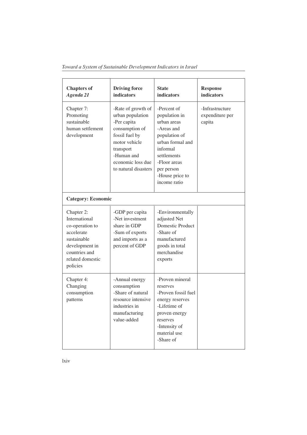|  | Toward a System of Sustainable Development Indicators in Israel |  |
|--|-----------------------------------------------------------------|--|
|--|-----------------------------------------------------------------|--|

| <b>Chapters of</b><br>Agenda 21                                                                                                                | <b>Driving force</b><br>indicators                                                                                                                                                 | <b>State</b><br><b>indicators</b>                                                                                                                                                          | <b>Response</b><br><b>indicators</b>         |
|------------------------------------------------------------------------------------------------------------------------------------------------|------------------------------------------------------------------------------------------------------------------------------------------------------------------------------------|--------------------------------------------------------------------------------------------------------------------------------------------------------------------------------------------|----------------------------------------------|
| Chapter 7:<br>Promoting<br>sustainable<br>human settlement<br>development                                                                      | -Rate of growth of<br>urban population<br>-Per capita<br>consumption of<br>fossil fuel by<br>motor vehicle<br>transport<br>-Human and<br>economic loss due<br>to natural disasters | -Percent of<br>population in<br>urban areas<br>-Areas and<br>population of<br>urban formal and<br>informal<br>settlements<br>-Floor areas<br>per person<br>-House price to<br>income ratio | -Infrastructure<br>expenditure per<br>capita |
| <b>Category: Economic</b>                                                                                                                      |                                                                                                                                                                                    |                                                                                                                                                                                            |                                              |
| Chapter 2:<br>International<br>co-operation to<br>accelerate<br>sustainable<br>development in<br>countries and<br>related domestic<br>policies | -GDP per capita<br>-Net investment<br>share in GDP<br>-Sum of exports<br>and imports as a<br>percent of GDP                                                                        | -Environmentally<br>adjusted Net<br><b>Domestic Product</b><br>-Share of<br>manufactured<br>goods in total<br>merchandise<br>exports                                                       |                                              |
| Chapter 4:<br>Changing<br>consumption<br>patterns                                                                                              | -Annual energy<br>consumption<br>-Share of natural<br>resource intensive<br>industries in<br>manufacturing<br>value-added                                                          | -Proven mineral<br>reserves<br>-Proven fossil fuel<br>energy reserves<br>-Lifetime of<br>proven energy<br>reserves<br>-Intensity of<br>material use<br>-Share of                           |                                              |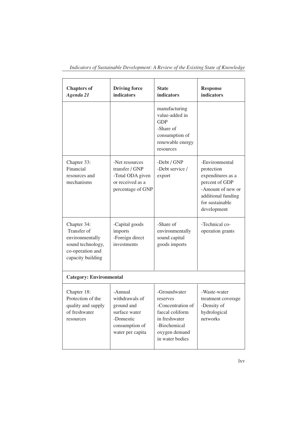| <b>Chapters of</b><br>Agenda 21                                                                             | <b>Driving force</b><br>indicators                                                                          | <b>State</b><br>indicators                                                                                                            | <b>Response</b><br>indicators                                                                                                                    |
|-------------------------------------------------------------------------------------------------------------|-------------------------------------------------------------------------------------------------------------|---------------------------------------------------------------------------------------------------------------------------------------|--------------------------------------------------------------------------------------------------------------------------------------------------|
|                                                                                                             |                                                                                                             | manufacturing<br>value-added in<br><b>GDP</b><br>-Share of<br>consumption of<br>renewable energy<br>resources                         |                                                                                                                                                  |
| Chapter 33:<br>Financial<br>resources and<br>mechanisms                                                     | -Net resources<br>transfer / GNP<br>-Total ODA given<br>or received as a<br>percentage of GNP               | -Debt / GNP<br>-Debt service /<br>export                                                                                              | -Environmental<br>protection<br>expenditures as a<br>percent of GDP<br>-Amount of new or<br>additional funding<br>for sustainable<br>development |
| Chapter 34:<br>Transfer of<br>environmentally<br>sound technology,<br>co-operation and<br>capacity building | -Capital goods<br>imports<br>-Foreign direct<br>investments                                                 | -Share of<br>environmentally<br>sound capital<br>goods imports                                                                        | -Technical co-<br>operation grants                                                                                                               |
| <b>Category: Environmental</b>                                                                              |                                                                                                             |                                                                                                                                       |                                                                                                                                                  |
| Chapter 18:<br>Protection of the<br>quality and supply<br>of freshwater<br>resources                        | -Annual<br>withdrawals of<br>ground and<br>surface water<br>-Domestic<br>consumption of<br>water per capita | -Groundwater<br>reserves<br>-Concentration of<br>faecal coliform<br>in freshwater<br>-Biochemical<br>oxygen demand<br>in water bodies | -Waste-water<br>treatment coverage<br>-Density of<br>hydrological<br>networks                                                                    |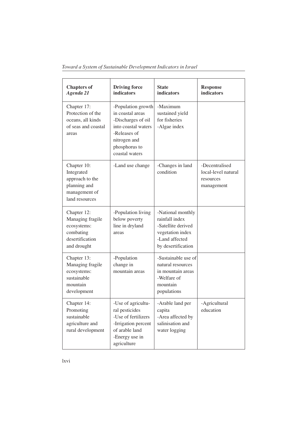| Toward a System of Sustainable Development Indicators in Israel |  |  |  |  |
|-----------------------------------------------------------------|--|--|--|--|
|-----------------------------------------------------------------|--|--|--|--|

| <b>Chapters of</b><br>Agenda 21                                                                 | <b>Driving force</b><br>indicators                                                                                                                     | <b>State</b><br>indicators                                                                                            | <b>Response</b><br>indicators                                    |
|-------------------------------------------------------------------------------------------------|--------------------------------------------------------------------------------------------------------------------------------------------------------|-----------------------------------------------------------------------------------------------------------------------|------------------------------------------------------------------|
| Chapter 17:<br>Protection of the<br>oceans, all kinds<br>of seas and coastal<br>areas           | -Population growth<br>in coastal areas<br>-Discharges of oil<br>into coastal waters<br>-Releases of<br>nitrogen and<br>phosphorus to<br>coastal waters | -Maximum<br>sustained yield<br>for fisheries<br>-Algae index                                                          |                                                                  |
| Chapter 10:<br>Integrated<br>approach to the<br>planning and<br>management of<br>land resources | -Land use change                                                                                                                                       | -Changes in land<br>condition                                                                                         | -Decentralised<br>local-level natural<br>resources<br>management |
| Chapter 12:<br>Managing fragile<br>ecosystems:<br>combating<br>desertification<br>and drought   | -Population living<br>below poverty<br>line in dryland<br>areas                                                                                        | -National monthly<br>rainfall index<br>-Satellite derived<br>vegetation index<br>-Land affected<br>by desertification |                                                                  |
| Chapter 13:<br>Managing fragile<br>ecosystems:<br>sustainable<br>mountain<br>development        | -Population<br>change in<br>mountain areas                                                                                                             | -Sustainable use of<br>natural resources<br>in mountain areas<br>-Welfare of<br>mountain<br>populations               |                                                                  |
| Chapter 14:<br>Promoting<br>sustainable<br>agriculture and<br>rural development                 | -Use of agricultu-<br>ral pesticides<br>-Use of fertilizers<br>-Irrigation percent<br>of arable land<br>-Energy use in<br>agriculture                  | -Arable land per<br>capita<br>-Area affected by<br>salinisation and<br>water logging                                  | -Agricultural<br>education                                       |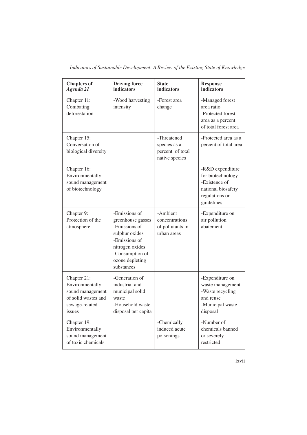| <b>Chapters of</b><br>Agenda 21                                                                       | <b>Driving force</b><br>indicators                                                                                                                            | <b>State</b><br>indicators                                        | <b>Response</b><br>indicators                                                                                |
|-------------------------------------------------------------------------------------------------------|---------------------------------------------------------------------------------------------------------------------------------------------------------------|-------------------------------------------------------------------|--------------------------------------------------------------------------------------------------------------|
| Chapter 11:<br>Combating<br>deforestation                                                             | -Wood harvesting<br>intensity                                                                                                                                 | -Forest area<br>change                                            | -Managed forest<br>area ratio<br>-Protected forest<br>area as a percent<br>of total forest area              |
| Chapter 15:<br>Conversation of<br>biological diversity                                                |                                                                                                                                                               | -Threatened<br>species as a<br>percent of total<br>native species | -Protected area as a<br>percent of total area                                                                |
| Chapter 16:<br>Environmentally<br>sound management<br>of biotechnology                                |                                                                                                                                                               |                                                                   | -R&D expenditure<br>for biotechnology<br>-Existence of<br>national biosafety<br>regulations or<br>guidelines |
| Chapter 9:<br>Protection of the<br>atmosphere                                                         | -Emissions of<br>greenhouse gasses<br>-Emissions of<br>sulphur oxides<br>-Emissions of<br>nitrogen oxides<br>-Consumption of<br>ozone depleting<br>substances | -Ambient<br>concentrations<br>of pollutants in<br>urban areas     | -Expenditure on<br>air pollution<br>abatement                                                                |
| Chapter 21:<br>Environmentally<br>sound management<br>of solid wastes and<br>sewage-related<br>issues | -Generation of<br>industrial and<br>municipal solid<br>waste<br>-Household waste<br>disposal per capita                                                       |                                                                   | -Expenditure on<br>waste management<br>-Waste recycling<br>and reuse<br>-Municipal waste<br>disposal         |
| Chapter 19:<br>Environmentally<br>sound management<br>of toxic chemicals                              |                                                                                                                                                               | -Chemically<br>induced acute<br>poisonings                        | -Number of<br>chemicals banned<br>or severely<br>restricted                                                  |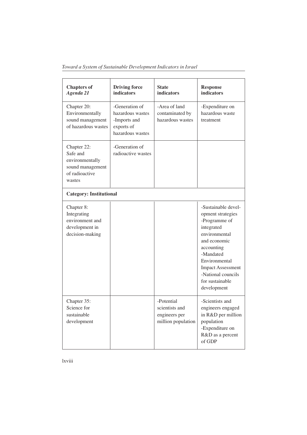*Toward a System of Sustainable Development Indicators in Israel*

| <b>Chapters of</b><br>Agenda 21                                                            | <b>Driving force</b><br><b>indicators</b>                                            | <b>State</b><br><b>indicators</b>                                   | <b>Response</b><br><b>indicators</b>                                                                                                                                                                                                     |
|--------------------------------------------------------------------------------------------|--------------------------------------------------------------------------------------|---------------------------------------------------------------------|------------------------------------------------------------------------------------------------------------------------------------------------------------------------------------------------------------------------------------------|
| Chapter 20:<br>Environmentally<br>sound management<br>of hazardous wastes                  | -Generation of<br>hazardous wastes<br>-Imports and<br>exports of<br>hazardous wastes | -Area of land<br>contaminated by<br>hazardous wastes                | -Expenditure on<br>hazardous waste<br>treatment                                                                                                                                                                                          |
| Chapter 22:<br>Safe and<br>environmentally<br>sound management<br>of radioactive<br>wastes | -Generation of<br>radioactive wastes                                                 |                                                                     |                                                                                                                                                                                                                                          |
| <b>Category: Institutional</b>                                                             |                                                                                      |                                                                     |                                                                                                                                                                                                                                          |
| Chapter 8:<br>Integrating<br>environment and<br>development in<br>decision-making          |                                                                                      |                                                                     | -Sustainable devel-<br>opment strategies<br>-Programme of<br>integrated<br>environmental<br>and economic<br>accounting<br>-Mandated<br>Environmental<br><b>Impact Assessment</b><br>-National councils<br>for sustainable<br>development |
| Chapter 35:<br>Science for<br>sustainable<br>development                                   |                                                                                      | -Potential<br>scientists and<br>engineers per<br>million population | -Scientists and<br>engineers engaged<br>in R&D per million<br>population<br>-Expenditure on<br>R&D as a percent<br>of GDP                                                                                                                |

lxviii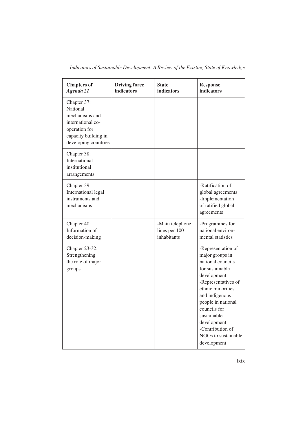| Indicators of Sustainable Development: A Review of the Existing State of Knowledge |  |  |  |
|------------------------------------------------------------------------------------|--|--|--|
|------------------------------------------------------------------------------------|--|--|--|

| <b>Chapters of</b><br>Agenda 21                                                                                                        | <b>Driving force</b><br>indicators | <b>State</b><br>indicators                      | <b>Response</b><br>indicators                                                                                                                                                                                                                                                            |
|----------------------------------------------------------------------------------------------------------------------------------------|------------------------------------|-------------------------------------------------|------------------------------------------------------------------------------------------------------------------------------------------------------------------------------------------------------------------------------------------------------------------------------------------|
| Chapter 37:<br><b>National</b><br>mechanisms and<br>international co-<br>operation for<br>capacity building in<br>developing countries |                                    |                                                 |                                                                                                                                                                                                                                                                                          |
| Chapter 38:<br>International<br>institutional<br>arrangements                                                                          |                                    |                                                 |                                                                                                                                                                                                                                                                                          |
| Chapter 39:<br>International legal<br>instruments and<br>mechanisms                                                                    |                                    |                                                 | -Ratification of<br>global agreements<br>-Implementation<br>of ratified global<br>agreements                                                                                                                                                                                             |
| Chapter 40:<br>Information of<br>decision-making                                                                                       |                                    | -Main telephone<br>lines per 100<br>inhabitants | -Programmes for<br>national environ-<br>mental statistics                                                                                                                                                                                                                                |
| Chapter 23-32:<br>Strengthening<br>the role of major<br>groups                                                                         |                                    |                                                 | -Representation of<br>major groups in<br>national councils<br>for sustainable<br>development<br>-Representatives of<br>ethnic minorities<br>and indigenous<br>people in national<br>councils for<br>sustainable<br>development<br>-Contribution of<br>NGOs to sustainable<br>development |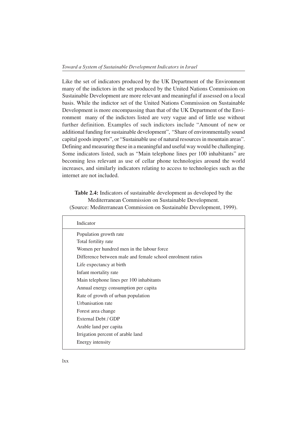Like the set of indicators produced by the UK Department of the Environment many of the indictors in the set produced by the United Nations Commission on Sustainable Development are more relevant and meaningful if assessed on a local basis. While the indictor set of the United Nations Commission on Sustainable Development is more encompassing than that of the UK Department of the Environment many of the indictors listed are very vague and of little use without further definition. Examples of such indictors include "Amount of new or additional funding for sustainable development", "Share of environmentally sound capital goods imports", or "Sustainable use of natural resources in mountain areas". Defining and measuring these in a meaningful and useful way would be challenging. Some indicators listed, such as "Main telephone lines per 100 inhabitants" are becoming less relevant as use of cellar phone technologies around the world increases, and similarly indicators relating to access to technologies such as the internet are not included.

**Table 2.4:** Indicators of sustainable development as developed by the Mediterranean Commission on Sustainable Development. (Source: Mediterranean Commission on Sustainable Development, 1999).

| Indicator                                                  |
|------------------------------------------------------------|
| Population growth rate                                     |
| Total fertility rate                                       |
| Women per hundred men in the labour force                  |
| Difference between male and female school enrolment ratios |
| Life expectancy at birth                                   |
| Infant mortality rate                                      |
| Main telephone lines per 100 inhabitants                   |
| Annual energy consumption per capita                       |
| Rate of growth of urban population                         |
| Urbanisation rate                                          |
| Forest area change                                         |
| External Debt / GDP                                        |
| Arable land per capita                                     |
| Irrigation percent of arable land                          |
| Energy intensity                                           |
|                                                            |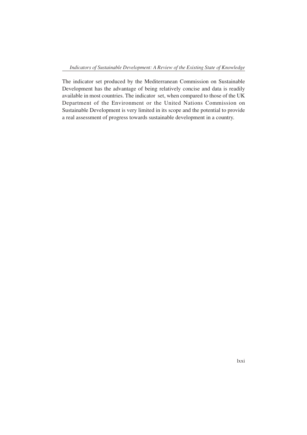The indicator set produced by the Mediterranean Commission on Sustainable Development has the advantage of being relatively concise and data is readily available in most countries. The indicator set, when compared to those of the UK Department of the Environment or the United Nations Commission on Sustainable Development is very limited in its scope and the potential to provide a real assessment of progress towards sustainable development in a country.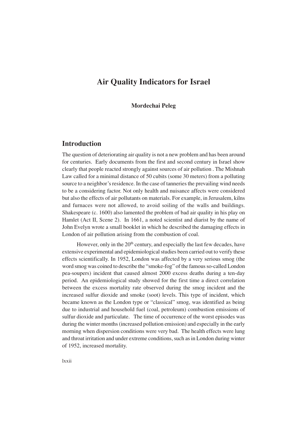# **Air Quality Indicators for Israel**

**Mordechai Peleg**

## **Introduction**

The question of deteriorating air quality is not a new problem and has been around for centuries. Early documents from the first and second century in Israel show clearly that people reacted strongly against sources of air pollution . The Mishnah Law called for a minimal distance of 50 cubits (some 30 meters) from a polluting source to a neighbor's residence. In the case of tanneries the prevailing wind needs to be a considering factor. Not only health and nuisance affects were considered but also the effects of air pollutants on materials. For example, in Jerusalem, kilns and furnaces were not allowed, to avoid soiling of the walls and buildings. Shakespeare (c. 1600) also lamented the problem of bad air quality in his play on Hamlet (Act II, Scene 2). In 1661, a noted scientist and diarist by the name of John Evelyn wrote a small booklet in which he described the damaging effects in London of air pollution arising from the combustion of coal.

However, only in the 20<sup>th</sup> century, and especially the last few decades, have extensive experimental and epidemiological studies been carried out to verify these effects scientifically. In 1952, London was affected by a very serious smog (the word smog was coined to describe the "smoke-fog" of the famous so-called London pea-soupers) incident that caused almost 2000 excess deaths during a ten-day period. An epidemiological study showed for the first time a direct correlation between the excess mortality rate observed during the smog incident and the increased sulfur dioxide and smoke (soot) levels. This type of incident, which became known as the London type or "classical" smog, was identified as being due to industrial and household fuel (coal, petroleum) combustion emissions of sulfur dioxide and particulate. The time of occurrence of the worst episodes was during the winter months (increased pollution emission) and especially in the early morning when dispersion conditions were very bad. The health effects were lung and throat irritation and under extreme conditions, such as in London during winter of 1952, increased mortality.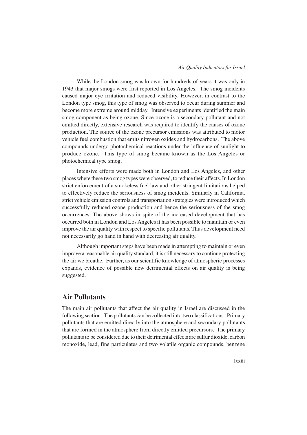While the London smog was known for hundreds of years it was only in 1943 that major smogs were first reported in Los Angeles. The smog incidents caused major eye irritation and reduced visibility. However, in contrast to the London type smog, this type of smog was observed to occur during summer and become more extreme around midday. Intensive experiments identified the main smog component as being ozone. Since ozone is a secondary pollutant and not emitted directly, extensive research was required to identify the causes of ozone production. The source of the ozone precursor emissions was attributed to motor vehicle fuel combustion that emits nitrogen oxides and hydrocarbons. The above compounds undergo photochemical reactions under the influence of sunlight to produce ozone. This type of smog became known as the Los Angeles or photochemical type smog.

Intensive efforts were made both in London and Los Angeles, and other places where these two smog types were observed, to reduce their affects. In London strict enforcement of a smokeless fuel law and other stringent limitations helped to effectively reduce the seriousness of smog incidents. Similarly in California, strict vehicle emission controls and transportation strategies were introduced which successfully reduced ozone production and hence the seriousness of the smog occurrences. The above shows in spite of the increased development that has occurred both in London and Los Angeles it has been possible to maintain or even improve the air quality with respect to specific pollutants. Thus development need not necessarily go hand in hand with decreasing air quality.

Although important steps have been made in attempting to maintain or even improve a reasonable air quality standard, it is still necessary to continue protecting the air we breathe. Further, as our scientific knowledge of atmospheric processes expands, evidence of possible new detrimental effects on air quality is being suggested.

# **Air Pollutants**

The main air pollutants that affect the air quality in Israel are discussed in the following section. The pollutants can be collected into two classifications. Primary pollutants that are emitted directly into the atmosphere and secondary pollutants that are formed in the atmosphere from directly emitted precursors. The primary pollutants to be considered due to their detrimental effects are sulfur dioxide, carbon monoxide, lead, fine particulates and two volatile organic compounds, benzene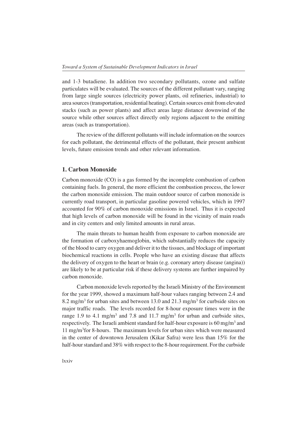and 1-3 butadiene. In addition two secondary pollutants, ozone and sulfate particulates will be evaluated. The sources of the different pollutant vary, ranging from large single sources (electricity power plants, oil refineries, industrial) to area sources (transportation, residential heating). Certain sources emit from elevated stacks (such as power plants) and affect areas large distance downwind of the source while other sources affect directly only regions adjacent to the emitting areas (such as transportation).

The review of the different pollutants will include information on the sources for each pollutant, the detrimental effects of the pollutant, their present ambient levels, future emission trends and other relevant information.

### **1. Carbon Monoxide**

Carbon monoxide (CO) is a gas formed by the incomplete combustion of carbon containing fuels. In general, the more efficient the combustion process, the lower the carbon monoxide emission. The main outdoor source of carbon monoxide is currently road transport, in particular gasoline powered vehicles, which in 1997 accounted for 90% of carbon monoxide emissions in Israel. Thus it is expected that high levels of carbon monoxide will be found in the vicinity of main roads and in city centers and only limited amounts in rural areas.

The main threats to human health from exposure to carbon monoxide are the formation of carboxyhaemoglobin, which substantially reduces the capacity of the blood to carry oxygen and deliver it to the tissues, and blockage of important biochemical reactions in cells. People who have an existing disease that affects the delivery of oxygen to the heart or brain (e.g. coronary artery disease (angina)) are likely to be at particular risk if these delivery systems are further impaired by carbon monoxide.

Carbon monoxide levels reported by the Israeli Ministry of the Environment for the year 1999, showed a maximum half-hour values ranging between 2.4 and 8.2 mg/m<sup>3</sup> for urban sites and between 13.0 and 21.3 mg/m<sup>3</sup> for curbside sites on major traffic roads. The levels recorded for 8-hour exposure times were in the range 1.9 to 4.1 mg/m<sup>3</sup> and 7.8 and 11.7 mg/m<sup>3</sup> for urban and curbside sites, respectively. The Israeli ambient standard for half-hour exposure is  $60 \text{ mg/m}^3$  and 11 mg/m3 for 8-hours. The maximum levels for urban sites which were measured in the center of downtown Jerusalem (Kikar Safra) were less than 15% for the half-hour standard and 38% with respect to the 8-hour requirement. For the curbside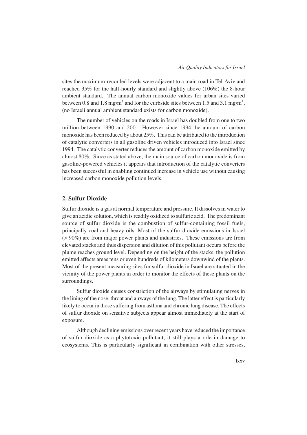sites the maximum-recorded levels were adjacent to a main road in Tel-Aviv and reached 35% for the half-hourly standard and slightly above (106%) the 8-hour ambient standard. The annual carbon monoxide values for urban sites varied between 0.8 and 1.8 mg/m<sup>3</sup> and for the curbside sites between 1.5 and 3.1 mg/m<sup>3</sup>, (no Israeli annual ambient standard exists for carbon monoxide).

The number of vehicles on the roads in Israel has doubled from one to two million between 1990 and 2001. However since 1994 the amount of carbon monoxide has been reduced by about 25%. This can be attributed to the introduction of catalytic converters in all gasoline driven vehicles introduced into Israel since 1994. The catalytic converter reduces the amount of carbon monoxide emitted by almost 80%. Since as stated above, the main source of carbon monoxide is from gasoline-powered vehicles it appears that introduction of the catalytic converters has been successful in enabling continued increase in vehicle use without causing increased carbon monoxide pollution levels.

### **2. Sulfur Dioxide**

Sulfur dioxide is a gas at normal temperature and pressure. It dissolves in water to give an acidic solution, which is readily oxidized to sulfuric acid. The predominant source of sulfur dioxide is the combustion of sulfur-containing fossil fuels, principally coal and heavy oils. Most of the sulfur dioxide emissions in Israel (> 90%) are from major power plants and industries. These emissions are from elevated stacks and thus dispersion and dilution of this pollutant occurs before the plume reaches ground level. Depending on the height of the stacks, the pollution emitted affects areas tens or even hundreds of kilometers downwind of the plants. Most of the present measuring sites for sulfur dioxide in Israel are situated in the vicinity of the power plants in order to monitor the effects of these plants on the surroundings.

Sulfur dioxide causes constriction of the airways by stimulating nerves in the lining of the nose, throat and airways of the lung. The latter effect is particularly likely to occur in those suffering from asthma and chronic lung disease. The effects of sulfur dioxide on sensitive subjects appear almost immediately at the start of exposure.

Although declining emissions over recent years have reduced the importance of sulfur dioxide as a phytotoxic pollutant, it still plays a role in damage to ecosystems. This is particularly significant in combination with other stresses,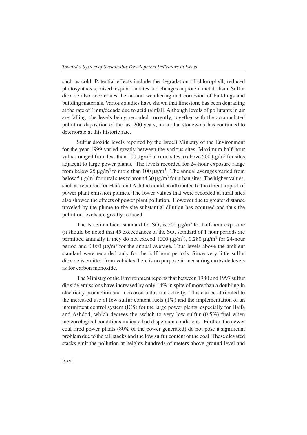such as cold. Potential effects include the degradation of chlorophyll, reduced photosynthesis, raised respiration rates and changes in protein metabolism. Sulfur dioxide also accelerates the natural weathering and corrosion of buildings and building materials. Various studies have shown that limestone has been degrading at the rate of 1mm/decade due to acid rainfall. Although levels of pollutants in air are falling, the levels being recorded currently, together with the accumulated pollution deposition of the last 200 years, mean that stonework has continued to deteriorate at this historic rate.

Sulfur dioxide levels reported by the Israeli Ministry of the Environment for the year 1999 varied greatly between the various sites. Maximum half-hour values ranged from less than  $100 \,\mu\text{g/m}^3$  at rural sites to above  $500 \,\mu\text{g/m}^3$  for sites adjacent to large power plants. The levels recorded for 24-hour exposure range from below 25  $\mu$ g/m<sup>3</sup> to more than 100  $\mu$ g/m<sup>3</sup>. The annual averages varied from below 5  $\mu$ g/m<sup>3</sup> for rural sites to around 30  $\mu$ g/m<sup>3</sup> for urban sites. The higher values, such as recorded for Haifa and Ashdod could be attributed to the direct impact of power plant emission plumes. The lower values that were recorded at rural sites also showed the effects of power plant pollution. However due to greater distance traveled by the plume to the site substantial dilution has occurred and thus the pollution levels are greatly reduced.

The Israeli ambient standard for  $SO_2$  is 500  $\mu$ g/m<sup>3</sup> for half-hour exposure (it should be noted that 45 exceedances of the  $SO_2$  standard of 1 hour periods are permitted annually if they do not exceed  $1000 \mu g/m^3$ ), 0.280  $\mu g/m^3$  for 24-hour period and  $0.060 \mu g/m^3$  for the annual average. Thus levels above the ambient standard were recorded only for the half hour periods. Since very little sulfur dioxide is emitted from vehicles there is no purpose in measuring curbside levels as for carbon monoxide.

The Ministry of the Environment reports that between 1980 and 1997 sulfur dioxide emissions have increased by only 14% in spite of more than a doubling in electricity production and increased industrial activity. This can be attributed to the increased use of low sulfur content fuels (1%) and the implementation of an intermittent control system (ICS) for the large power plants, especially for Haifa and Ashdod, which decrees the switch to very low sulfur (0.5%) fuel when meteorological conditions indicate bad dispersion conditions. Further, the newer coal fired power plants (80% of the power generated) do not pose a significant problem due to the tall stacks and the low sulfur content of the coal. These elevated stacks emit the pollution at heights hundreds of meters above ground level and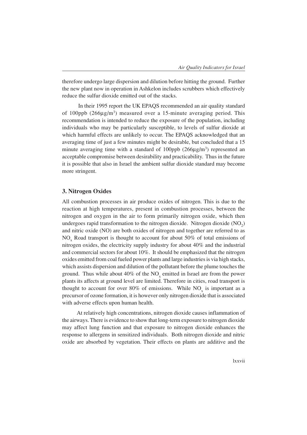therefore undergo large dispersion and dilution before hitting the ground. Further the new plant now in operation in Ashkelon includes scrubbers which effectively reduce the sulfur dioxide emitted out of the stacks.

 In their 1995 report the UK EPAQS recommended an air quality standard of 100ppb  $(266\mu g/m^3)$  measured over a 15-minute averaging period. This recommendation is intended to reduce the exposure of the population, including individuals who may be particularly susceptible, to levels of sulfur dioxide at which harmful effects are unlikely to occur. The EPAQS acknowledged that an averaging time of just a few minutes might be desirable, but concluded that a 15 minute averaging time with a standard of  $100$ ppb ( $266 \mu g/m<sup>3</sup>$ ) represented an acceptable compromise between desirability and practicability. Thus in the future it is possible that also in Israel the ambient sulfur dioxide standard may become more stringent.

## **3. Nitrogen Oxides**

All combustion processes in air produce oxides of nitrogen. This is due to the reaction at high temperatures, present in combustion processes, between the nitrogen and oxygen in the air to form primarily nitrogen oxide, which then undergoes rapid transformation to the nitrogen dioxide. Nitrogen dioxide  $(NO<sub>2</sub>)$ and nitric oxide (NO) are both oxides of nitrogen and together are referred to as  $NO<sub>x</sub>$  Road transport is thought to account for about 50% of total emissions of nitrogen oxides, the electricity supply industry for about 40% and the industrial and commercial sectors for about 10%. It should be emphasized that the nitrogen oxides emitted from coal fueled power plants and large industries is via high stacks, which assists dispersion and dilution of the pollutant before the plume touches the ground. Thus while about  $40\%$  of the  $NO_x$  emitted in Israel are from the power plants its affects at ground level are limited. Therefore in cities, road transport is thought to account for over 80% of emissions. While  $NO<sub>x</sub>$  is important as a precursor of ozone formation, it is however only nitrogen dioxide that is associated with adverse effects upon human health.

At relatively high concentrations, nitrogen dioxide causes inflammation of the airways. There is evidence to show that long-term exposure to nitrogen dioxide may affect lung function and that exposure to nitrogen dioxide enhances the response to allergens in sensitized individuals. Both nitrogen dioxide and nitric oxide are absorbed by vegetation. Their effects on plants are additive and the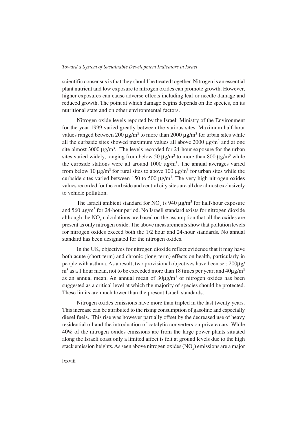scientific consensus is that they should be treated together. Nitrogen is an essential plant nutrient and low exposure to nitrogen oxides can promote growth. However, higher exposures can cause adverse effects including leaf or needle damage and reduced growth. The point at which damage begins depends on the species, on its nutritional state and on other environmental factors.

Nitrogen oxide levels reported by the Israeli Ministry of the Environment for the year 1999 varied greatly between the various sites. Maximum half-hour values ranged between 200  $\mu$ g/m<sup>3</sup> to more than 2000  $\mu$ g/m<sup>3</sup> for urban sites while all the curbside sites showed maximum values all above  $2000 \mu g/m<sup>3</sup>$  and at one site almost  $3000 \mu g/m^3$ . The levels recorded for 24-hour exposure for the urban sites varied widely, ranging from below 50  $\mu$ g/m<sup>3</sup> to more than 800  $\mu$ g/m<sup>3</sup> while the curbside stations were all around  $1000 \mu g/m<sup>3</sup>$ . The annual averages varied from below 10  $\mu$ g/m<sup>3</sup> for rural sites to above 100  $\mu$ g/m<sup>3</sup> for urban sites while the curbside sites varied between 150 to 500  $\mu$ g/m<sup>3</sup>. The very high nitrogen oxides values recorded for the curbside and central city sites are all due almost exclusively to vehicle pollution.

The Israeli ambient standard for  $NO_x$  is 940  $\mu$ g/m<sup>3</sup> for half-hour exposure and 560 µg/m<sup>3</sup> for 24-hour period. No Israeli standard exists for nitrogen dioxide although the  $NO<sub>x</sub>$  calculations are based on the assumption that all the oxides are present as only nitrogen oxide. The above measurements show that pollution levels for nitrogen oxides exceed both the 1/2 hour and 24-hour standards. No annual standard has been designated for the nitrogen oxides.

In the UK, objectives for nitrogen dioxide reflect evidence that it may have both acute (short-term) and chronic (long-term) effects on health, particularly in people with asthma. As a result, two provisional objectives have been set: 200µg/  $\text{m}^3$  as a 1 hour mean, not to be exceeded more than 18 times per year; and 40 $\mu\text{g}/\text{m}^3$ as an annual mean. An annual mean of  $30\mu g/m^3$  of nitrogen oxides has been suggested as a critical level at which the majority of species should be protected. These limits are much lower than the present Israeli standards.

Nitrogen oxides emissions have more than tripled in the last twenty years. This increase can be attributed to the rising consumption of gasoline and especially diesel fuels. This rise was however partially offset by the decreased use of heavy residential oil and the introduction of catalytic converters on private cars. While 40% of the nitrogen oxides emissions are from the large power plants situated along the Israeli coast only a limited affect is felt at ground levels due to the high stack emission heights. As seen above nitrogen oxides  $(\mathrm{NO_x})$  emissions are a major

#### lxxviii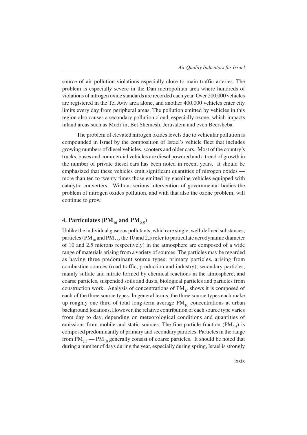source of air pollution violations especially close to main traffic arteries. The problem is especially severe in the Dan metropolitan area where hundreds of violations of nitrogen oxide standards are recorded each year. Over 200,000 vehicles are registered in the Tel Aviv area alone, and another 400,000 vehicles enter city limits every day from peripheral areas. The pollution emitted by vehicles in this region also causes a secondary pollution cloud, especially ozone, which impacts inland areas such as Modi'in, Bet Shemesh, Jerusalem and even Beersheba.

The problem of elevated nitrogen oxides levels due to vehicular pollution is compounded in Israel by the composition of Israel's vehicle fleet that includes growing numbers of diesel vehicles, scooters and older cars. Most of the country's trucks, buses and commercial vehicles are diesel powered and a trend of growth in the number of private diesel cars has been noted in recent years. It should be emphasized that these vehicles emit significant quantities of nitrogen oxides more than ten to twenty times those emitted by gasoline vehicles equipped with catalytic converters. Without serious intervention of governmental bodies the problem of nitrogen oxides pollution, and with that also the ozone problem, will continue to grow.

# **4. Particulates (PM<sub>10</sub> and PM<sub>2.5</sub>)**

Unlike the individual gaseous pollutants, which are single, well-defined substances, particles (PM<sub>10</sub> and PM<sub>2.5</sub>, the 10 and 2,5 refer to particulate aerodynamic diameter of 10 and 2.5 microns respectively) in the atmosphere are composed of a wide range of materials arising from a variety of sources. The particles may be regarded as having three predominant source types; primary particles, arising from combustion sources (road traffic, production and industry); secondary particles, mainly sulfate and nitrate formed by chemical reactions in the atmosphere; and coarse particles, suspended soils and dusts, biological particles and particles from construction work. Analysis of concentrations of  $PM_{10}$  shows it is composed of each of the three source types. In general terms, the three source types each make up roughly one third of total long-term average  $PM_{10}$  concentrations at urban background locations. However, the relative contribution of each source type varies from day to day, depending on meteorological conditions and quantities of emissions from mobile and static sources. The fine particle fraction  $(PM_{2.5})$  is composed predominantly of primary and secondary particles. Particles in the range from  $PM_{2.5}$  –  $PM_{10}$  generally consist of coarse particles. It should be noted that during a number of days during the year, especially during spring, Israel is strongly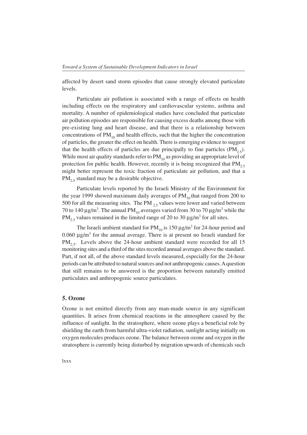affected by desert sand storm episodes that cause strongly elevated particulate levels.

Particulate air pollution is associated with a range of effects on health including effects on the respiratory and cardiovascular systems, asthma and mortality. A number of epidemiological studies have concluded that particulate air pollution episodes are responsible for causing excess deaths among those with pre-existing lung and heart disease, and that there is a relationship between concentrations of  $PM_{10}$  and health effects, such that the higher the concentration of particles, the greater the effect on health. There is emerging evidence to suggest that the health effects of particles are due principally to fine particles  $(PM_{2.5})$ . While most air quality standards refer to  $PM_{10}$  as providing an appropriate level of protection for public health. However, recently it is being recognized that  $PM<sub>2.5</sub>$ might better represent the toxic fraction of particulate air pollution, and that a  $PM_{2.5}$  standard may be a desirable objective.

Particulate levels reported by the Israeli Ministry of the Environment for the year 1999 showed maximum daily averages of  $PM_{10}$  that ranged from 200 to 500 for all the measuring sites. The PM  $_{2.5}$  values were lower and varied between 70 to 140  $\mu$ g/m<sup>3</sup>. The annual PM<sub>10</sub> averages varied from 30 to 70  $\mu$ g/m<sup>3</sup> while the  $PM_{2.5}$  values remained in the limited range of 20 to 30  $\mu$ g/m<sup>3</sup> for all sites.

The Israeli ambient standard for  $PM_{10}$  is 150  $\mu$ g/m<sup>3</sup> for 24-hour period and  $0.060 \mu g/m<sup>3</sup>$  for the annual average. There is at present no Israeli standard for  $PM_{2.5}$ . Levels above the 24-hour ambient standard were recorded for all 15 monitoring sites and a third of the sites recorded annual averages above the standard. Part, if not all, of the above standard levels measured, especially for the 24-hour periods can be attributed to natural sources and not anthropogenic causes. A question that still remains to be answered is the proportion between naturally emitted particulates and anthropogenic source particulates.

# **5. Ozone**

Ozone is not emitted directly from any man-made source in any significant quantities. It arises from chemical reactions in the atmosphere caused by the influence of sunlight. In the stratosphere, where ozone plays a beneficial role by shielding the earth from harmful ultra-violet radiation, sunlight acting initially on oxygen molecules produces ozone. The balance between ozone and oxygen in the stratosphere is currently being disturbed by migration upwards of chemicals such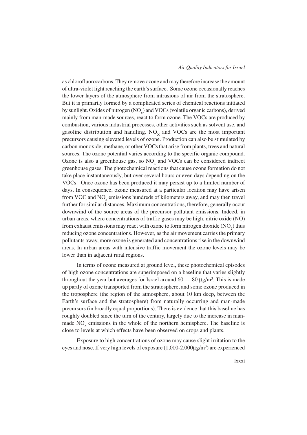as chlorofluorocarbons. They remove ozone and may therefore increase the amount of ultra-violet light reaching the earth's surface. Some ozone occasionally reaches the lower layers of the atmosphere from intrusions of air from the stratosphere. But it is primarily formed by a complicated series of chemical reactions initiated by sunlight. Oxides of nitrogen  $(NO_x)$  and  $VOCs$  (volatile organic carbons), derived mainly from man-made sources, react to form ozone. The VOCs are produced by combustion, various industrial processes, other activities such as solvent use, and gasoline distribution and handling.  $NO<sub>x</sub>$  and VOCs are the most important precursors causing elevated levels of ozone. Production can also be stimulated by carbon monoxide, methane, or other VOCs that arise from plants, trees and natural sources. The ozone potential varies according to the specific organic compound. Ozone is also a greenhouse gas, so  $NO<sub>x</sub>$  and VOCs can be considered indirect greenhouse gases. The photochemical reactions that cause ozone formation do not take place instantaneously, but over several hours or even days depending on the VOCs. Once ozone has been produced it may persist up to a limited number of days. In consequence, ozone measured at a particular location may have arisen from VOC and  $NO<sub>x</sub>$  emissions hundreds of kilometers away, and may then travel further for similar distances. Maximum concentrations, therefore, generally occur downwind of the source areas of the precursor pollutant emissions. Indeed, in urban areas, where concentrations of traffic gases may be high, nitric oxide (NO) from exhaust emissions may react with ozone to form nitrogen dioxide  $(\mathrm{NO}_2)$  thus reducing ozone concentrations. However, as the air movement carries the primary pollutants away, more ozone is generated and concentrations rise in the downwind areas. In urban areas with intensive traffic movement the ozone levels may be lower than in adjacent rural regions.

In terms of ozone measured at ground level, these photochemical episodes of high ozone concentrations are superimposed on a baseline that varies slightly throughout the year but averages for Israel around  $60-80 \,\mu$ g/m<sup>3</sup>. This is made up partly of ozone transported from the stratosphere, and some ozone produced in the troposphere (the region of the atmosphere, about 10 km deep, between the Earth's surface and the stratosphere) from naturally occurring and man-made precursors (in broadly equal proportions). There is evidence that this baseline has roughly doubled since the turn of the century, largely due to the increase in manmade  $NO<sub>x</sub>$  emissions in the whole of the northern hemisphere. The baseline is close to levels at which effects have been observed on crops and plants.

Exposure to high concentrations of ozone may cause slight irritation to the eyes and nose. If very high levels of exposure (1,000-2,000µg/m<sup>3</sup>) are experienced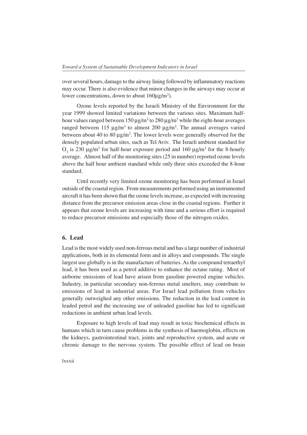over several hours, damage to the airway lining followed by inflammatory reactions may occur. There is also evidence that minor changes in the airways may occur at lower concentrations, down to about  $160 \mu g/m^3$ ).

Ozone levels reported by the Israeli Ministry of the Environment for the year 1999 showed limited variations between the various sites. Maximum halfhour values ranged between  $150 \,\mathrm{\mu g/m^3}$  to  $280 \,\mathrm{\mu g/m^3}$  while the eight-hour averages ranged between 115  $\mu$ g/m<sup>3</sup> to almost 200  $\mu$ g/m<sup>3</sup>. The annual averages varied between about 40 to 80  $\mu$ g/m<sup>3</sup>. The lower levels were generally observed for the densely populated urban sites, such as Tel Aviv. The Israeli ambient standard for  $O_3$  is 230  $\mu$ g/m<sup>3</sup> for half-hour exposure period and 160  $\mu$ g/m<sup>3</sup> for the 8-hourly average. Almost half of the monitoring sites (25 in number) reported ozone levels above the half hour ambient standard while only three sites exceeded the 8-hour standard.

Until recently very limited ozone monitoring has been performed in Israel outside of the coastal region. From measurements performed using an instrumented aircraft it has been shown that the ozone levels increase, as expected with increasing distance from the precursor emission areas close in the coastal regions. Further it appears that ozone levels are increasing with time and a serious effort is required to reduce precursor emissions and especially those of the nitrogen oxides.

# **6. Lead**

Lead is the most widely used non-ferrous metal and has a large number of industrial applications, both in its elemental form and in alloys and compounds. The single largest use globally is in the manufacture of batteries. As the compound tetraethyl lead, it has been used as a petrol additive to enhance the octane rating. Most of airborne emissions of lead have arisen from gasoline powered engine vehicles. Industry, in particular secondary non-ferrous metal smelters, may contribute to emissions of lead in industrial areas. For Israel lead pollution from vehicles generally outweighed any other emissions. The reduction in the lead content in leaded petrol and the increasing use of unleaded gasoline has led to significant reductions in ambient urban lead levels.

Exposure to high levels of lead may result in toxic biochemical effects in humans which in turn cause problems in the synthesis of haemoglobin, effects on the kidneys, gastrointestinal tract, joints and reproductive system, and acute or chronic damage to the nervous system. The possible effect of lead on brain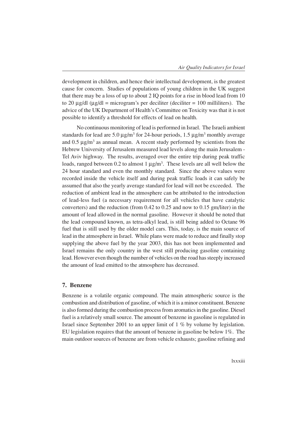development in children, and hence their intellectual development, is the greatest cause for concern. Studies of populations of young children in the UK suggest that there may be a loss of up to about 2 IQ points for a rise in blood lead from 10 to 20  $\mu$ g/dl ( $\mu$ g/dl = microgram's per deciliter (deciliter = 100 milliliters). The advice of the UK Department of Health's Committee on Toxicity was that it is not possible to identify a threshold for effects of lead on health.

No continuous monitoring of lead is performed in Israel. The Israeli ambient standards for lead are  $5.0 \mu g/m^3$  for 24-hour periods, 1.5  $\mu g/m^3$  monthly average and  $0.5 \ \mu g/m^3$  as annual mean. A recent study performed by scientists from the Hebrew University of Jerusalem measured lead levels along the main Jerusalem - Tel Aviv highway. The results, averaged over the entire trip during peak traffic loads, ranged between 0.2 to almost 1  $\mu$ g/m<sup>3</sup>. These levels are all well below the 24 hour standard and even the monthly standard. Since the above values were recorded inside the vehicle itself and during peak traffic loads it can safely be assumed that also the yearly average standard for lead will not be exceeded. The reduction of ambient lead in the atmosphere can be attributed to the introduction of lead-less fuel (a necessary requirement for all vehicles that have catalytic converters) and the reduction (from 0.42 to 0.25 and now to 0.15 gm/liter) in the amount of lead allowed in the normal gasoline. However it should be noted that the lead compound known, as tetra-alkyl lead, is still being added to Octane 96 fuel that is still used by the older model cars. This, today, is the main source of lead in the atmosphere in Israel. While plans were made to reduce and finally stop supplying the above fuel by the year 2003, this has not been implemented and Israel remains the only country in the west still producing gasoline containing lead. However even though the number of vehicles on the road has steeply increased the amount of lead emitted to the atmosphere has decreased.

#### **7. Benzene**

Benzene is a volatile organic compound. The main atmospheric source is the combustion and distribution of gasoline, of which it is a minor constituent. Benzene is also formed during the combustion process from aromatics in the gasoline. Diesel fuel is a relatively small source. The amount of benzene in gasoline is regulated in Israel since September 2001 to an upper limit of 1 % by volume by legislation. EU legislation requires that the amount of benzene in gasoline be below 1%. The main outdoor sources of benzene are from vehicle exhausts; gasoline refining and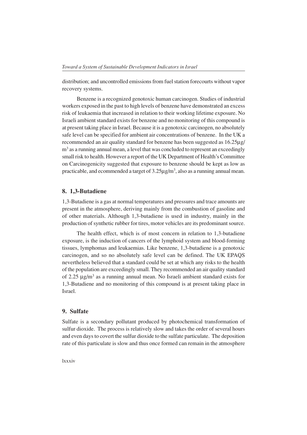distribution; and uncontrolled emissions from fuel station forecourts without vapor recovery systems.

Benzene is a recognized genotoxic human carcinogen. Studies of industrial workers exposed in the past to high levels of benzene have demonstrated an excess risk of leukaemia that increased in relation to their working lifetime exposure. No Israeli ambient standard exists for benzene and no monitoring of this compound is at present taking place in Israel. Because it is a genotoxic carcinogen, no absolutely safe level can be specified for ambient air concentrations of benzene. In the UK a recommended an air quality standard for benzene has been suggested as 16.25µg/ m<sup>3</sup> as a running annual mean, a level that was concluded to represent an exceedingly small risk to health. However a report of the UK Department of Health's Committee on Carcinogenicity suggested that exposure to benzene should be kept as low as practicable, and ecommended a target of  $3.25 \mu g/m^3$ , also as a running annual mean.

#### **8. 1,3-Butadiene**

1,3-Butadiene is a gas at normal temperatures and pressures and trace amounts are present in the atmosphere, deriving mainly from the combustion of gasoline and of other materials. Although 1,3-butadiene is used in industry, mainly in the production of synthetic rubber for tires, motor vehicles are its predominant source.

The health effect, which is of most concern in relation to 1,3-butadiene exposure, is the induction of cancers of the lymphoid system and blood-forming tissues, lymphomas and leukaemias. Like benzene, 1,3-butadiene is a genotoxic carcinogen, and so no absolutely safe level can be defined. The UK EPAQS nevertheless believed that a standard could be set at which any risks to the health of the population are exceedingly small. They recommended an air quality standard of 2.25 µg/m<sup>3</sup> as a running annual mean. No Israeli ambient standard exists for 1,3-Butadiene and no monitoring of this compound is at present taking place in Israel.

## **9. Sulfate**

Sulfate is a secondary pollutant produced by photochemical transformation of sulfur dioxide. The process is relatively slow and takes the order of several hours and even days to covert the sulfur dioxide to the sulfate particulate. The deposition rate of this particulate is slow and thus once formed can remain in the atmosphere

lxxxiv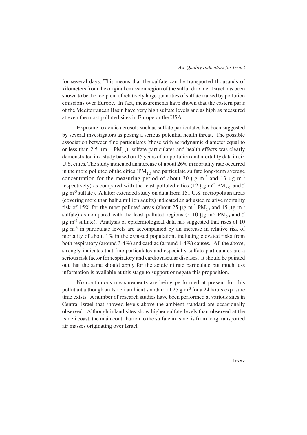for several days. This means that the sulfate can be transported thousands of kilometers from the original emission region of the sulfur dioxide. Israel has been shown to be the recipient of relatively large quantities of sulfate caused by pollution emissions over Europe. In fact, measurements have shown that the eastern parts of the Mediterranean Basin have very high sulfate levels and as high as measured at even the most polluted sites in Europe or the USA.

Exposure to acidic aerosols such as sulfate particulates has been suggested by several investigators as posing a serious potential health threat. The possible association between fine particulates (those with aerodynamic diameter equal to or less than 2.5  $\mu$ m – PM<sub>2.5</sub>), sulfate particulates and health effects was clearly demonstrated in a study based on 15 years of air pollution and mortality data in six U.S. cities. The study indicated an increase of about 26% in mortality rate occurred in the more polluted of the cities  $(PM_{2,5}$  and particulate sulfate long-term average concentration for the measuring period of about 30  $\mu$ g m<sup>-3</sup> and 13  $\mu$ g m<sup>-3</sup> respectively) as compared with the least polluted cities (12  $\mu$ g m<sup>-3</sup> PM<sub>25</sub> and 5  $\mu$ g m<sup>-3</sup> sulfate). A latter extended study on data from 151 U.S. metropolitan areas (covering more than half a million adults) indicated an adjusted relative mortality risk of 15% for the most polluted areas (about 25  $\mu$ g m<sup>-3</sup> PM<sub>2.5</sub> and 15  $\mu$ g m<sup>-3</sup> sulfate) as compared with the least polluted regions ( $\sim 10 \mu g$  m<sup>-3</sup> PM<sub>25</sub> and 5  $\mu$ g m<sup>-3</sup> sulfate). Analysis of epidemiological data has suggested that rises of 10  $\mu$ g m<sup>-3</sup> in particulate levels are accompanied by an increase in relative risk of mortality of about  $1\%$  in the exposed population, including elevated risks from both respiratory (around 3-4%) and cardiac (around 1-4%) causes. All the above, strongly indicates that fine particulates and especially sulfate particulates are a serious risk factor for respiratory and cardiovascular diseases. It should be pointed out that the same should apply for the acidic nitrate particulate but much less information is available at this stage to support or negate this proposition.

No continuous measurements are being performed at present for this pollutant although an Israeli ambient standard of  $25 \text{ g m}^{-3}$  for a 24 hours exposure time exists. A number of research studies have been performed at various sites in Central Israel that showed levels above the ambient standard are occasionally observed. Although inland sites show higher sulfate levels than observed at the Israeli coast, the main contribution to the sulfate in Israel is from long transported air masses originating over Israel.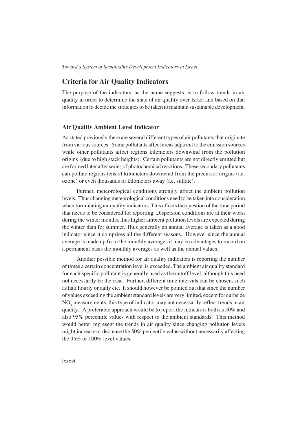# **Criteria for Air Quality Indicators**

The purpose of the indicators, as the name suggests, is to follow trends in air quality in order to determine the state of air quality over Israel and based on that information to decide the strategies to be taken to maintain sustainable development.

## **Air Quality Ambient Level Indicator**

As stated previously there are several different types of air pollutants that originate from various sources. Some pollutants affect areas adjacent to the emission sources while other pollutants affect regions kilometers downwind from the pollution origins (due to high stack heights). Certain pollutants are not directly emitted but are formed later after series of photochemical reactions. These secondary pollutants can pollute regions tens of kilometers downwind from the precursor origins (i.e. ozone) or even thousands of kilometers away (i.e. sulfate).

Further, meteorological conditions strongly affect the ambient pollution levels. Thus changing meteorological conditions need to be taken into consideration when formulating air quality indicators. This affects the question of the time period that needs to be considered for reporting. Dispersion conditions are at their worst during the winter months, thus higher ambient pollution levels are expected during the winter than for summer. Thus generally an annual average is taken as a good indicator since it comprises all the different seasons. However since the annual average is made up from the monthly averages it may be advantages to record on a permanent basis the monthly averages as well as the annual values.

Another possible method for air quality indicators is reporting the number of times a certain concentration level is exceeded. The ambient air quality standard for each specific pollutant is generally used as the cutoff level, although this need not necessarily be the case. Further, different time intervals can be chosen, such as half hourly or daily etc. It should however be pointed out that since the number of values exceeding the ambient standard levels are very limited, except for curbside  $NO<sub>x</sub>$  measurements, this type of indicator may not necessarily reflect trends in air quality. A preferable approach would be to report the indicators both as 50% and also 95% percentile values with respect to the ambient standards. This method would better represent the trends in air quality since changing pollution levels might increase or decrease the 50% percentile value without necessarily affecting the 95% or 100% level values.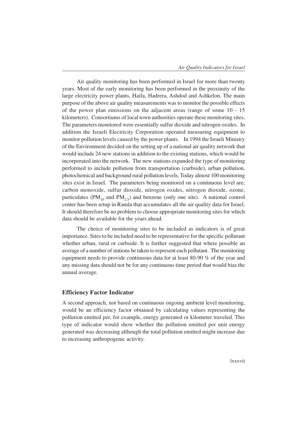Air quality monitoring has been performed in Israel for more than twenty years. Most of the early monitoring has been performed in the proximity of the large electricity power plants, Haifa, Hadrera, Ashdod and Ashkelon. The main purpose of the above air quality measurements was to monitor the possible effects of the power plan emissions on the adjacent areas (range of some 10 - 15 kilometers). Consortiums of local town authorities operate these monitoring sites. The parameters monitored were essentially sulfur dioxide and nitrogen oxides. In addition the Israeli Electricity Corporation operated measuring equipment to monitor pollution levels caused by the power plants. In 1994 the Israeli Ministry of the Environment decided on the setting up of a national air quality network that would include 24 new stations in addition to the existing stations, which would be incorporated into the network. The new stations expanded the type of monitoring performed to include pollution from transportation (curbside), urban pollution, photochemical and background rural pollution levels. Today almost 100 monitoring sites exist in Israel. The parameters being monitored on a continuous level are; carbon monoxide, sulfur dioxide, nitrogen oxides, nitrogen dioxide, ozone, particulates (PM<sub>10</sub> and PM<sub>2.5</sub>) and benzene (only one site). A national control center has been setup in Ramla that accumulates all the air quality data for Israel. It should therefore be no problem to choose appropriate monitoring sites for which data should be available for the years ahead.

The choice of monitoring sites to be included as indicators is of great importance. Sites to be included need to be representative for the specific pollutant whether urban, rural or curbside. It is further suggested that where possible an average of a number of stations be taken to represent each pollutant. The monitoring equipment needs to provide continuous data for at least 80-90 % of the year and any missing data should not be for any continuous time period that would bias the annual average.

### **Efficiency Factor Indicator**

A second approach, not based on continuous ongoing ambient level monitoring, would be an efficiency factor obtained by calculating values representing the pollution emitted per, for example, energy generated or kilometer traveled. This type of indicator would show whether the pollution emitted per unit energy generated was decreasing although the total pollution emitted might increase due to increasing anthropogenic activity.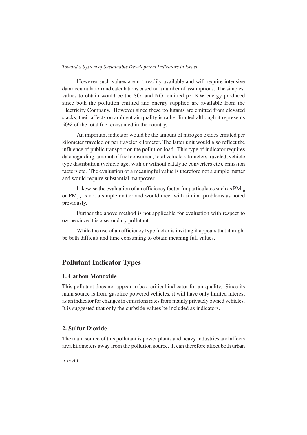However such values are not readily available and will require intensive data accumulation and calculations based on a number of assumptions. The simplest values to obtain would be the  $SO_2$  and  $NO_x$  emitted per KW energy produced since both the pollution emitted and energy supplied are available from the Electricity Company. However since these pollutants are emitted from elevated stacks, their affects on ambient air quality is rather limited although it represents 50% of the total fuel consumed in the country.

An important indicator would be the amount of nitrogen oxides emitted per kilometer traveled or per traveler kilometer. The latter unit would also reflect the influence of public transport on the pollution load. This type of indicator requires data regarding, amount of fuel consumed, total vehicle kilometers traveled, vehicle type distribution (vehicle age, with or without catalytic converters etc), emission factors etc. The evaluation of a meaningful value is therefore not a simple matter and would require substantial manpower.

Likewise the evaluation of an efficiency factor for particulates such as  $PM_{10}$ or  $PM_{2,5}$  is not a simple matter and would meet with similar problems as noted previously.

Further the above method is not applicable for evaluation with respect to ozone since it is a secondary pollutant.

While the use of an efficiency type factor is inviting it appears that it might be both difficult and time consuming to obtain meaning full values.

# **Pollutant Indicator Types**

# **1. Carbon Monoxide**

This pollutant does not appear to be a critical indicator for air quality. Since its main source is from gasoline powered vehicles, it will have only limited interest as an indicator for changes in emissions rates from mainly privately owned vehicles. It is suggested that only the curbside values be included as indicators.

# **2. Sulfur Dioxide**

The main source of this pollutant is power plants and heavy industries and affects area kilometers away from the pollution source. It can therefore affect both urban

lxxxviii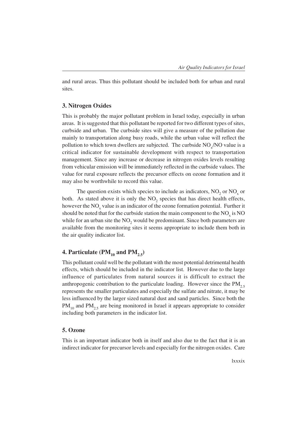and rural areas. Thus this pollutant should be included both for urban and rural sites.

# **3. Nitrogen Oxides**

This is probably the major pollutant problem in Israel today, especially in urban areas. It is suggested that this pollutant be reported for two different types of sites, curbside and urban. The curbside sites will give a measure of the pollution due mainly to transportation along busy roads, while the urban value will reflect the pollution to which town dwellers are subjected. The curbside  $NO_x/NO$  value is a critical indicator for sustainable development with respect to transportation management. Since any increase or decrease in nitrogen oxides levels resulting from vehicular emission will be immediately reflected in the curbside values. The value for rural exposure reflects the precursor effects on ozone formation and it may also be worthwhile to record this value.

The question exists which species to include as indicators,  $NO_2$  or  $NO_x$  or both. As stated above it is only the  $NO<sub>2</sub>$  species that has direct health effects, however the  $\mathrm{NO}_{\mathrm{x}}$  value is an indicator of the ozone formation potential. Further it should be noted that for the curbside station the main component to the  $NO<sub>x</sub>$  is NO while for an urban site the  $NO_2$  would be predominant. Since both parameters are available from the monitoring sites it seems appropriate to include them both in the air quality indicator list.

# **4. Particulate (PM<sub>10</sub> and PM<sub>2.5</sub>)**

This pollutant could well be the pollutant with the most potential detrimental health effects, which should be included in the indicator list. However due to the large influence of particulates from natural sources it is difficult to extract the anthropogenic contribution to the particulate loading. However since the  $PM_{2.5}$ represents the smaller particulates and especially the sulfate and nitrate, it may be less influenced by the larger sized natural dust and sand particles. Since both the  $PM_{10}$  and  $PM_{25}$  are being monitored in Israel it appears appropriate to consider including both parameters in the indicator list.

### **5. Ozone**

This is an important indicator both in itself and also due to the fact that it is an indirect indicator for precursor levels and especially for the nitrogen oxides. Care

lxxxix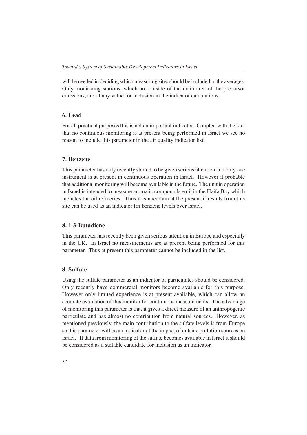will be needed in deciding which measuring sites should be included in the averages. Only monitoring stations, which are outside of the main area of the precursor emissions, are of any value for inclusion in the indicator calculations.

### **6. Lead**

For all practical purposes this is not an important indicator. Coupled with the fact that no continuous monitoring is at present being performed in Israel we see no reason to include this parameter in the air quality indicator list.

#### **7. Benzene**

This parameter has only recently started to be given serious attention and only one instrument is at present in continuous operation in Israel. However it probable that additional monitoring will become available in the future. The unit in operation in Israel is intended to measure aromatic compounds emit in the Haifa Bay which includes the oil refineries. Thus it is uncertain at the present if results from this site can be used as an indicator for benzene levels over Israel.

### **8. 1 3-Butadiene**

This parameter has recently been given serious attention in Europe and especially in the UK. In Israel no measurements are at present being performed for this parameter. Thus at present this parameter cannot be included in the list.

## **8. Sulfate**

Using the sulfate parameter as an indicator of particulates should be considered. Only recently have commercial monitors become available for this purpose. However only limited experience is at present available, which can allow an accurate evaluation of this monitor for continuous measurements. The advantage of monitoring this parameter is that it gives a direct measure of an anthropogenic particulate and has almost no contribution from natural sources. However, as mentioned previously, the main contribution to the sulfate levels is from Europe so this parameter will be an indicator of the impact of outside pollution sources on Israel. If data from monitoring of the sulfate becomes available in Israel it should be considered as a suitable candidate for inclusion as an indicator.